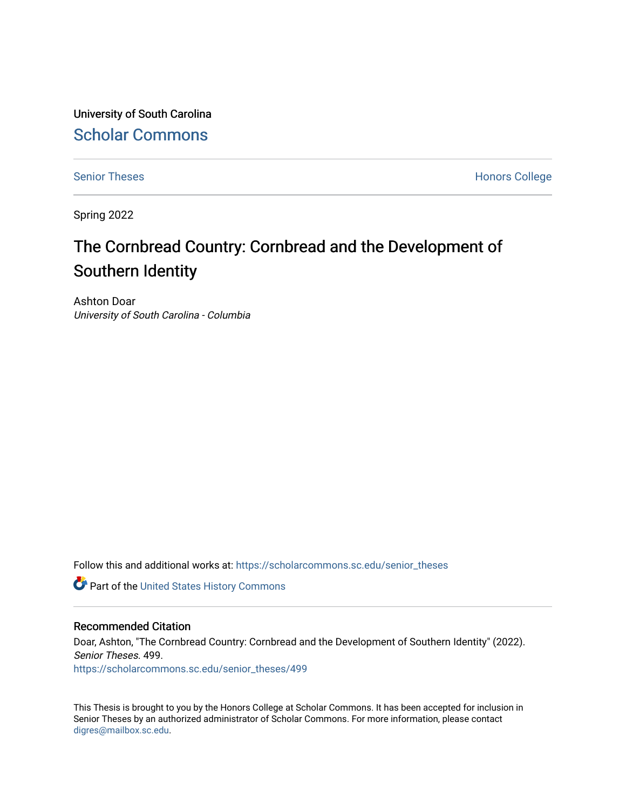University of South Carolina [Scholar Commons](https://scholarcommons.sc.edu/) 

[Senior Theses](https://scholarcommons.sc.edu/senior_theses) **Honors College** Honors College

Spring 2022

## The Cornbread Country: Cornbread and the Development of Southern Identity

Ashton Doar University of South Carolina - Columbia

Follow this and additional works at: [https://scholarcommons.sc.edu/senior\\_theses](https://scholarcommons.sc.edu/senior_theses?utm_source=scholarcommons.sc.edu%2Fsenior_theses%2F499&utm_medium=PDF&utm_campaign=PDFCoverPages) 

**Part of the United States History Commons** 

#### Recommended Citation

Doar, Ashton, "The Cornbread Country: Cornbread and the Development of Southern Identity" (2022). Senior Theses. 499. [https://scholarcommons.sc.edu/senior\\_theses/499](https://scholarcommons.sc.edu/senior_theses/499?utm_source=scholarcommons.sc.edu%2Fsenior_theses%2F499&utm_medium=PDF&utm_campaign=PDFCoverPages) 

This Thesis is brought to you by the Honors College at Scholar Commons. It has been accepted for inclusion in Senior Theses by an authorized administrator of Scholar Commons. For more information, please contact [digres@mailbox.sc.edu](mailto:digres@mailbox.sc.edu).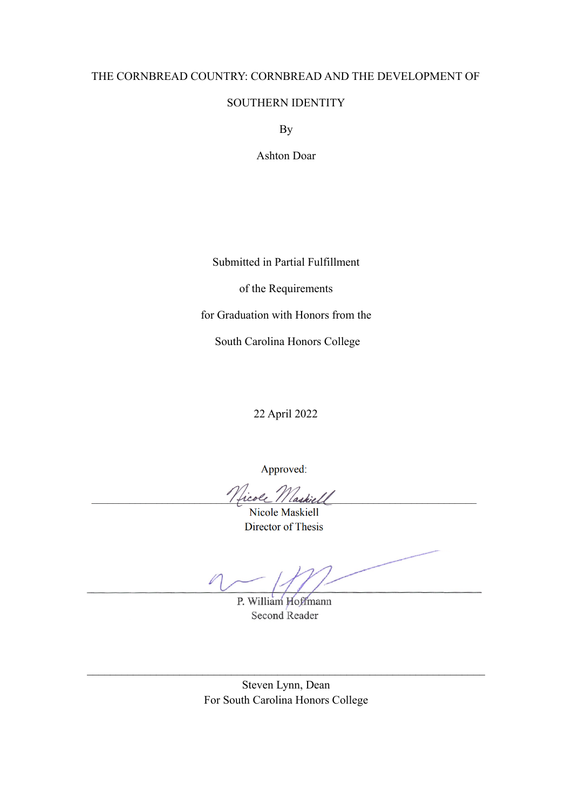#### THE CORNBREAD COUNTRY: CORNBREAD AND THE DEVELOPMENT OF

#### SOUTHERN IDENTITY

By

Ashton Doar

Submitted in Partial Fulfillment

of the Requirements

for Graduation with Honors from the

South Carolina Honors College

22 April 2022

Approved:

Vicole 1

Nicole Maskiell Director of Thesis

P. William Hoffmann Second Reader

Steven Lynn, Dean For South Carolina Honors College

 $\_$  , and the contribution of the contribution of  $\mathcal{L}_\mathcal{A}$  , and the contribution of  $\mathcal{L}_\mathcal{A}$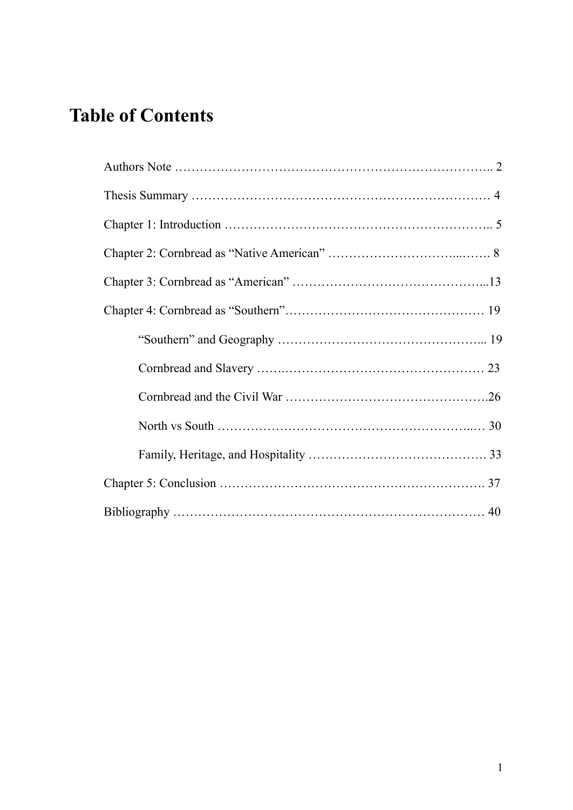# **Table of Contents**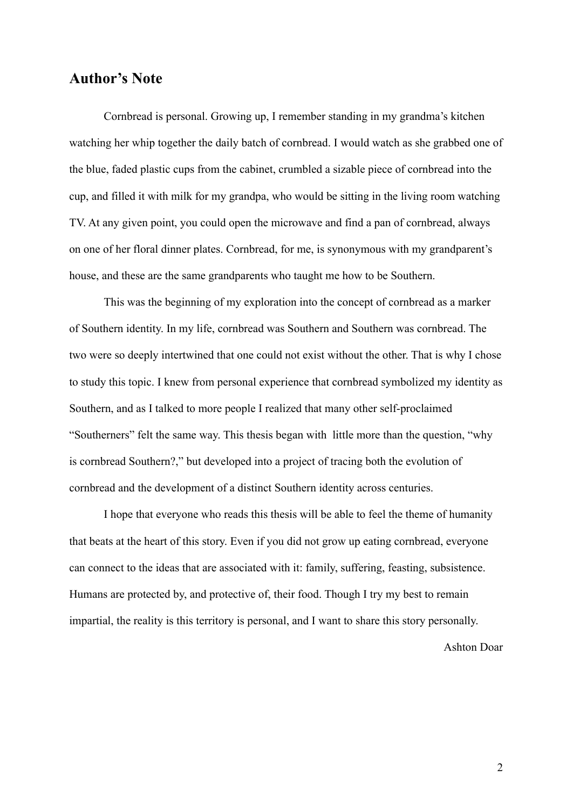## **Author's Note**

Cornbread is personal. Growing up, I remember standing in my grandma's kitchen watching her whip together the daily batch of cornbread. I would watch as she grabbed one of the blue, faded plastic cups from the cabinet, crumbled a sizable piece of cornbread into the cup, and filled it with milk for my grandpa, who would be sitting in the living room watching TV. At any given point, you could open the microwave and find a pan of cornbread, always on one of her floral dinner plates. Cornbread, for me, is synonymous with my grandparent's house, and these are the same grandparents who taught me how to be Southern.

This was the beginning of my exploration into the concept of cornbread as a marker of Southern identity. In my life, cornbread was Southern and Southern was cornbread. The two were so deeply intertwined that one could not exist without the other. That is why I chose to study this topic. I knew from personal experience that cornbread symbolized my identity as Southern, and as I talked to more people I realized that many other self-proclaimed "Southerners" felt the same way. This thesis began with little more than the question, "why is cornbread Southern?," but developed into a project of tracing both the evolution of cornbread and the development of a distinct Southern identity across centuries.

I hope that everyone who reads this thesis will be able to feel the theme of humanity that beats at the heart of this story. Even if you did not grow up eating cornbread, everyone can connect to the ideas that are associated with it: family, suffering, feasting, subsistence. Humans are protected by, and protective of, their food. Though I try my best to remain impartial, the reality is this territory is personal, and I want to share this story personally.

Ashton Doar

2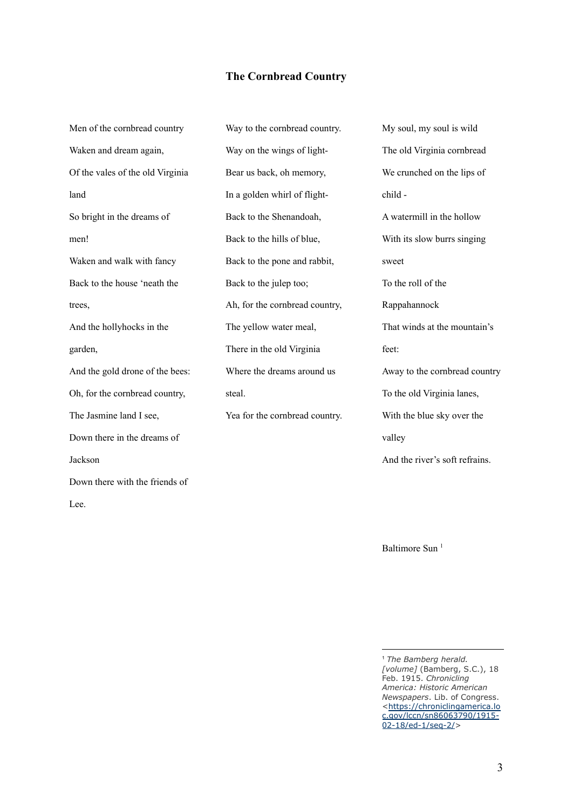#### **The Cornbread Country**

Men of the cornbread country Waken and dream again, Of the vales of the old Virginia land So bright in the dreams of men! Waken and walk with fancy Back to the house 'neath the trees, And the hollyhocks in the garden, And the gold drone of the bees: Oh, for the cornbread country, The Jasmine land I see, Down there in the dreams of Jackson Down there with the friends of Lee.

Way to the cornbread country. Way on the wings of light-Bear us back, oh memory, In a golden whirl of flight-Back to the Shenandoah, Back to the hills of blue, Back to the pone and rabbit, Back to the julep too; Ah, for the cornbread country, The yellow water meal, There in the old Virginia Where the dreams around us steal. Yea for the cornbread country.

My soul, my soul is wild The old Virginia cornbread We crunched on the lips of child - A watermill in the hollow With its slow burrs singing sweet To the roll of the Rappahannock That winds at the mountain's feet: Away to the cornbread country To the old Virginia lanes, With the blue sky over the valley And the river's soft refrains.

Baltimore Sun 1

<sup>1</sup> *The Bamberg herald. [volume]* (Bamberg, S.C.), 18 Feb. 1915. *Chronicling America: Historic American Newspapers*. Lib. of Congress. [<https://chroniclingamerica.lo](https://chroniclingamerica.loc.gov/lccn/sn86063790/1915-02-18/ed-1/seq-2/) [c.gov/lccn/sn86063790/1915-](https://chroniclingamerica.loc.gov/lccn/sn86063790/1915-02-18/ed-1/seq-2/) [02-18/ed-1/seq-2/](https://chroniclingamerica.loc.gov/lccn/sn86063790/1915-02-18/ed-1/seq-2/)>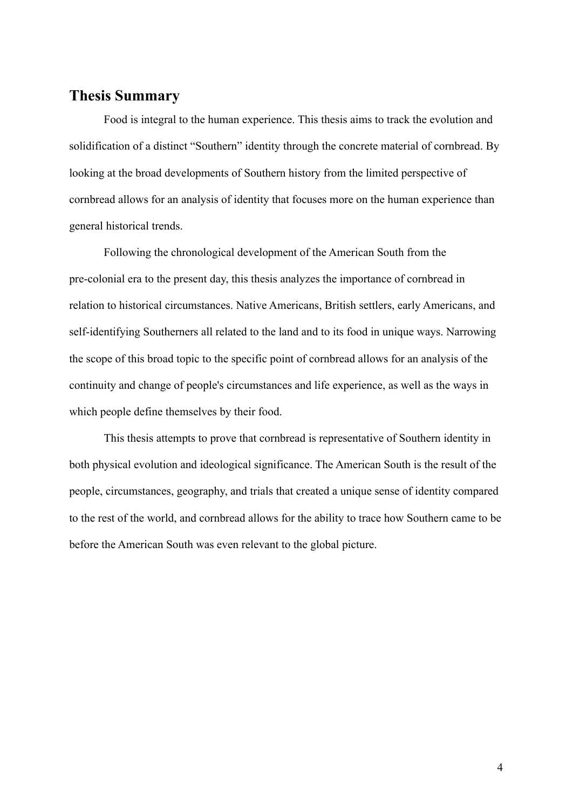## **Thesis Summary**

Food is integral to the human experience. This thesis aims to track the evolution and solidification of a distinct "Southern" identity through the concrete material of cornbread. By looking at the broad developments of Southern history from the limited perspective of cornbread allows for an analysis of identity that focuses more on the human experience than general historical trends.

Following the chronological development of the American South from the pre-colonial era to the present day, this thesis analyzes the importance of cornbread in relation to historical circumstances. Native Americans, British settlers, early Americans, and self-identifying Southerners all related to the land and to its food in unique ways. Narrowing the scope of this broad topic to the specific point of cornbread allows for an analysis of the continuity and change of people's circumstances and life experience, as well as the ways in which people define themselves by their food.

This thesis attempts to prove that cornbread is representative of Southern identity in both physical evolution and ideological significance. The American South is the result of the people, circumstances, geography, and trials that created a unique sense of identity compared to the rest of the world, and cornbread allows for the ability to trace how Southern came to be before the American South was even relevant to the global picture.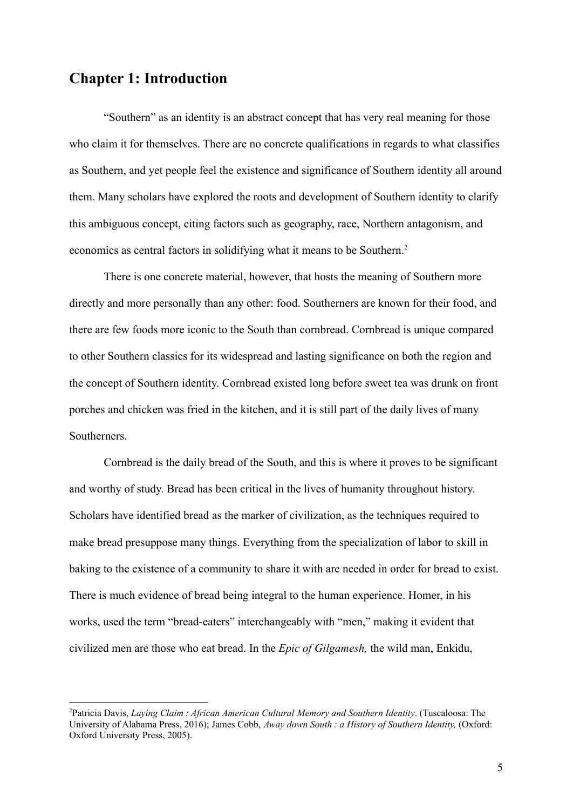## **Chapter 1: Introduction**

"Southern" as an identity is an abstract concept that has very real meaning for those who claim it for themselves. There are no concrete qualifications in regards to what classifies as Southern, and yet people feel the existence and significance of Southern identity all around them. Many scholars have explored the roots and development of Southern identity to clarify this ambiguous concept, citing factors such as geography, race, Northern antagonism, and economics as central factors in solidifying what it means to be Southern.<sup>2</sup>

There is one concrete material, however, that hosts the meaning of Southern more directly and more personally than any other: food. Southerners are known for their food, and there are few foods more iconic to the South than cornbread. Cornbread is unique compared to other Southern classics for its widespread and lasting significance on both the region and the concept of Southern identity. Cornbread existed long before sweet tea was drunk on front porches and chicken was fried in the kitchen, and it is still part of the daily lives of many Southerners.

Cornbread is the daily bread of the South, and this is where it proves to be significant and worthy of study. Bread has been critical in the lives of humanity throughout history. Scholars have identified bread as the marker of civilization, as the techniques required to make bread presuppose many things. Everything from the specialization of labor to skill in baking to the existence of a community to share it with are needed in order for bread to exist. There is much evidence of bread being integral to the human experience. Homer, in his works, used the term "bread-eaters" interchangeably with "men," making it evident that civilized men are those who eat bread. In the *Epic of Gilgamesh,* the wild man, Enkidu,

<sup>2</sup>Patricia Davis, *Laying Claim : African American Cultural Memory and Southern Identity*. (Tuscaloosa: The University of Alabama Press, 2016); James Cobb, *Away down South : a History of Southern Identity,* (Oxford: Oxford University Press, 2005).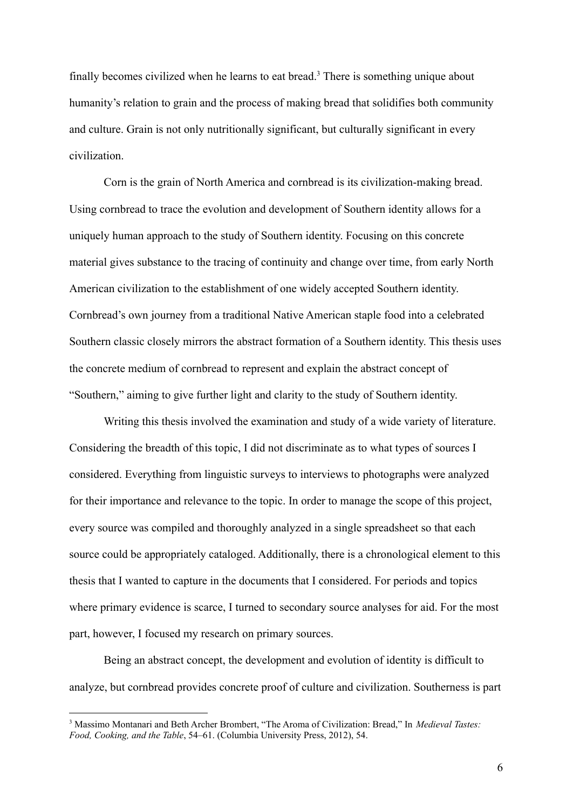finally becomes civilized when he learns to eat bread.<sup>3</sup> There is something unique about humanity's relation to grain and the process of making bread that solidifies both community and culture. Grain is not only nutritionally significant, but culturally significant in every civilization.

Corn is the grain of North America and cornbread is its civilization-making bread. Using cornbread to trace the evolution and development of Southern identity allows for a uniquely human approach to the study of Southern identity. Focusing on this concrete material gives substance to the tracing of continuity and change over time, from early North American civilization to the establishment of one widely accepted Southern identity. Cornbread's own journey from a traditional Native American staple food into a celebrated Southern classic closely mirrors the abstract formation of a Southern identity. This thesis uses the concrete medium of cornbread to represent and explain the abstract concept of "Southern," aiming to give further light and clarity to the study of Southern identity.

Writing this thesis involved the examination and study of a wide variety of literature. Considering the breadth of this topic, I did not discriminate as to what types of sources I considered. Everything from linguistic surveys to interviews to photographs were analyzed for their importance and relevance to the topic. In order to manage the scope of this project, every source was compiled and thoroughly analyzed in a single spreadsheet so that each source could be appropriately cataloged. Additionally, there is a chronological element to this thesis that I wanted to capture in the documents that I considered. For periods and topics where primary evidence is scarce, I turned to secondary source analyses for aid. For the most part, however, I focused my research on primary sources.

Being an abstract concept, the development and evolution of identity is difficult to analyze, but cornbread provides concrete proof of culture and civilization. Southerness is part

<sup>3</sup> Massimo Montanari and Beth Archer Brombert, "The Aroma of Civilization: Bread," In *Medieval Tastes: Food, Cooking, and the Table*, 54–61. (Columbia University Press, 2012), 54.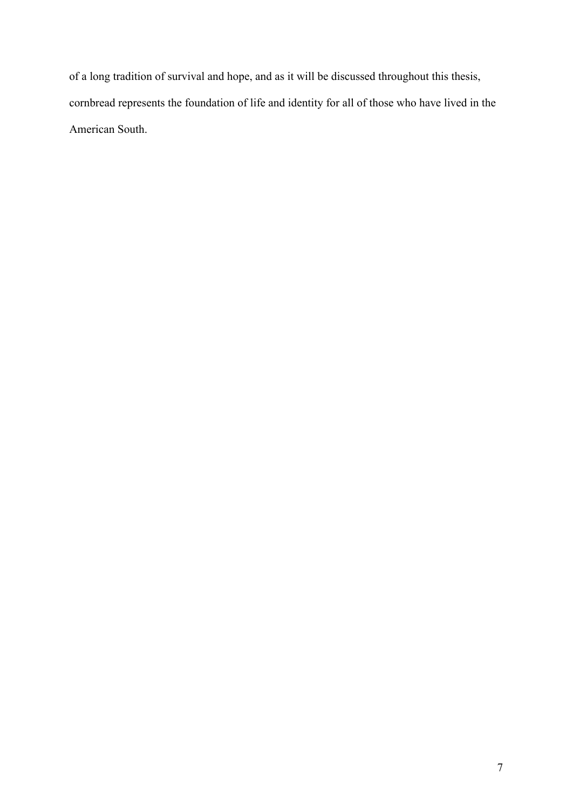of a long tradition of survival and hope, and as it will be discussed throughout this thesis, cornbread represents the foundation of life and identity for all of those who have lived in the American South.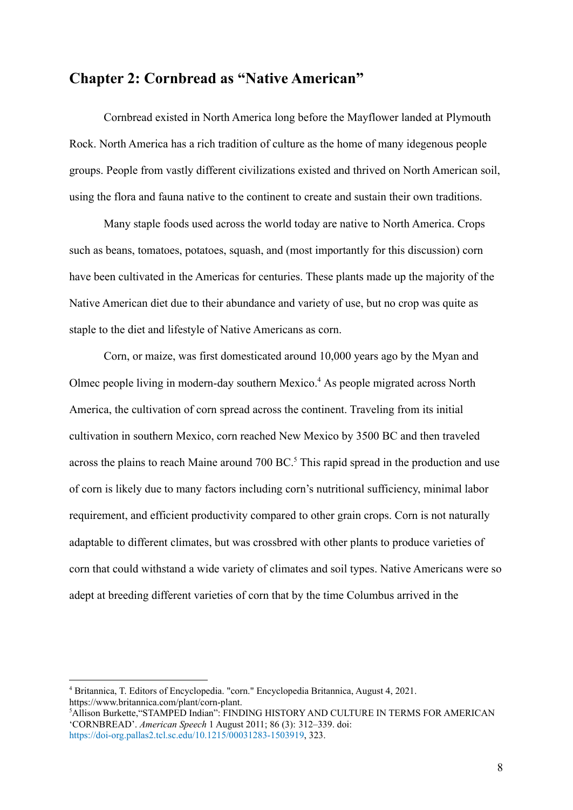#### **Chapter 2: Cornbread as "Native American"**

Cornbread existed in North America long before the Mayflower landed at Plymouth Rock. North America has a rich tradition of culture as the home of many idegenous people groups. People from vastly different civilizations existed and thrived on North American soil, using the flora and fauna native to the continent to create and sustain their own traditions.

Many staple foods used across the world today are native to North America. Crops such as beans, tomatoes, potatoes, squash, and (most importantly for this discussion) corn have been cultivated in the Americas for centuries. These plants made up the majority of the Native American diet due to their abundance and variety of use, but no crop was quite as staple to the diet and lifestyle of Native Americans as corn.

Corn, or maize, was first domesticated around 10,000 years ago by the Myan and Olmec people living in modern-day southern Mexico.<sup>4</sup> As people migrated across North America, the cultivation of corn spread across the continent. Traveling from its initial cultivation in southern Mexico, corn reached New Mexico by 3500 BC and then traveled across the plains to reach Maine around 700 BC.<sup>5</sup> This rapid spread in the production and use of corn is likely due to many factors including corn's nutritional sufficiency, minimal labor requirement, and efficient productivity compared to other grain crops. Corn is not naturally adaptable to different climates, but was crossbred with other plants to produce varieties of corn that could withstand a wide variety of climates and soil types. Native Americans were so adept at breeding different varieties of corn that by the time Columbus arrived in the

<sup>4</sup> Britannica, T. Editors of Encyclopedia. "corn." Encyclopedia Britannica, August 4, 2021. https://www.britannica.com/plant/corn-plant.

<sup>5</sup>Allison Burkette,"STAMPED Indian": FINDING HISTORY AND CULTURE IN TERMS FOR AMERICAN 'CORNBREAD'. *American Speech* 1 August 2011; 86 (3): 312–339. doi: <https://doi-org.pallas2.tcl.sc.edu/10.1215/00031283-1503919>, 323.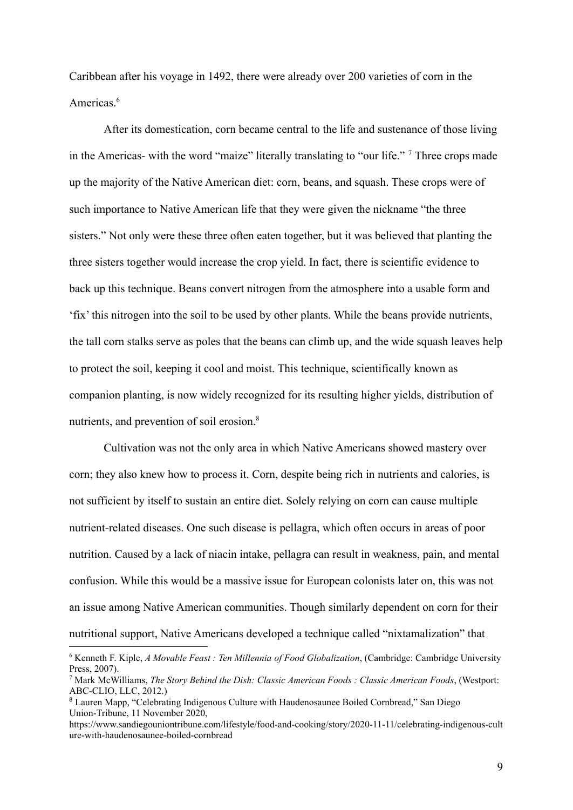Caribbean after his voyage in 1492, there were already over 200 varieties of corn in the Americas<sup>6</sup>

After its domestication, corn became central to the life and sustenance of those living in the Americas- with the word "maize" literally translating to "our life." <sup>7</sup> Three crops made up the majority of the Native American diet: corn, beans, and squash. These crops were of such importance to Native American life that they were given the nickname "the three sisters." Not only were these three often eaten together, but it was believed that planting the three sisters together would increase the crop yield. In fact, there is scientific evidence to back up this technique. Beans convert nitrogen from the atmosphere into a usable form and 'fix' this nitrogen into the soil to be used by other plants. While the beans provide nutrients, the tall corn stalks serve as poles that the beans can climb up, and the wide squash leaves help to protect the soil, keeping it cool and moist. This technique, scientifically known as companion planting, is now widely recognized for its resulting higher yields, distribution of nutrients, and prevention of soil erosion.<sup>8</sup>

Cultivation was not the only area in which Native Americans showed mastery over corn; they also knew how to process it. Corn, despite being rich in nutrients and calories, is not sufficient by itself to sustain an entire diet. Solely relying on corn can cause multiple nutrient-related diseases. One such disease is pellagra, which often occurs in areas of poor nutrition. Caused by a lack of niacin intake, pellagra can result in weakness, pain, and mental confusion. While this would be a massive issue for European colonists later on, this was not an issue among Native American communities. Though similarly dependent on corn for their nutritional support, Native Americans developed a technique called "nixtamalization" that

<sup>6</sup> Kenneth F. Kiple, *A Movable Feast : Ten Millennia of Food Globalization*, (Cambridge: Cambridge University Press, 2007).

<sup>7</sup> Mark McWilliams, *The Story Behind the Dish: Classic American Foods : Classic American Foods*, (Westport: ABC-CLIO, LLC, 2012.)

<sup>8</sup> Lauren Mapp, "Celebrating Indigenous Culture with Haudenosaunee Boiled Cornbread," San Diego Union-Tribune, 11 November 2020,

https://www.sandiegouniontribune.com/lifestyle/food-and-cooking/story/2020-11-11/celebrating-indigenous-cult ure-with-haudenosaunee-boiled-cornbread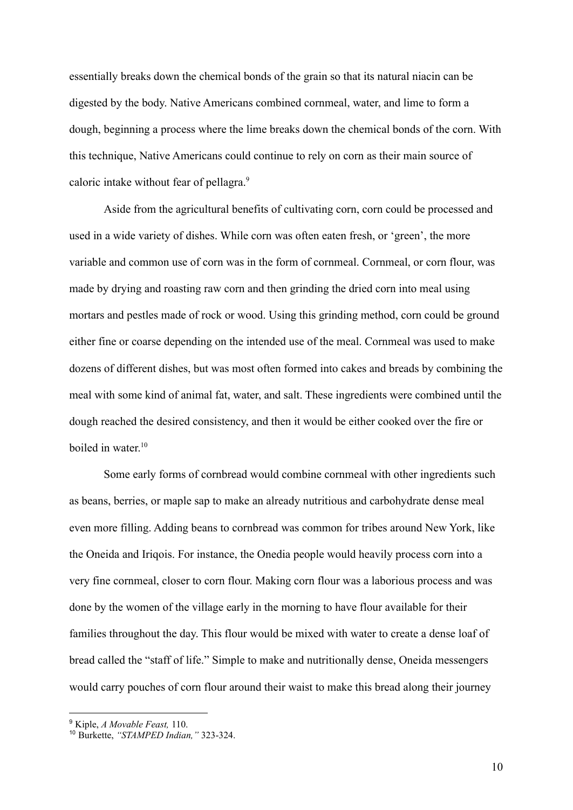essentially breaks down the chemical bonds of the grain so that its natural niacin can be digested by the body. Native Americans combined cornmeal, water, and lime to form a dough, beginning a process where the lime breaks down the chemical bonds of the corn. With this technique, Native Americans could continue to rely on corn as their main source of caloric intake without fear of pellagra.<sup>9</sup>

Aside from the agricultural benefits of cultivating corn, corn could be processed and used in a wide variety of dishes. While corn was often eaten fresh, or 'green', the more variable and common use of corn was in the form of cornmeal. Cornmeal, or corn flour, was made by drying and roasting raw corn and then grinding the dried corn into meal using mortars and pestles made of rock or wood. Using this grinding method, corn could be ground either fine or coarse depending on the intended use of the meal. Cornmeal was used to make dozens of different dishes, but was most often formed into cakes and breads by combining the meal with some kind of animal fat, water, and salt. These ingredients were combined until the dough reached the desired consistency, and then it would be either cooked over the fire or boiled in water. 10

Some early forms of cornbread would combine cornmeal with other ingredients such as beans, berries, or maple sap to make an already nutritious and carbohydrate dense meal even more filling. Adding beans to cornbread was common for tribes around New York, like the Oneida and Iriqois. For instance, the Onedia people would heavily process corn into a very fine cornmeal, closer to corn flour. Making corn flour was a laborious process and was done by the women of the village early in the morning to have flour available for their families throughout the day. This flour would be mixed with water to create a dense loaf of bread called the "staff of life." Simple to make and nutritionally dense, Oneida messengers would carry pouches of corn flour around their waist to make this bread along their journey

10

<sup>9</sup> Kiple, *A Movable Feast,* 110.

<sup>10</sup> Burkette, *"STAMPED Indian,"* 323-324.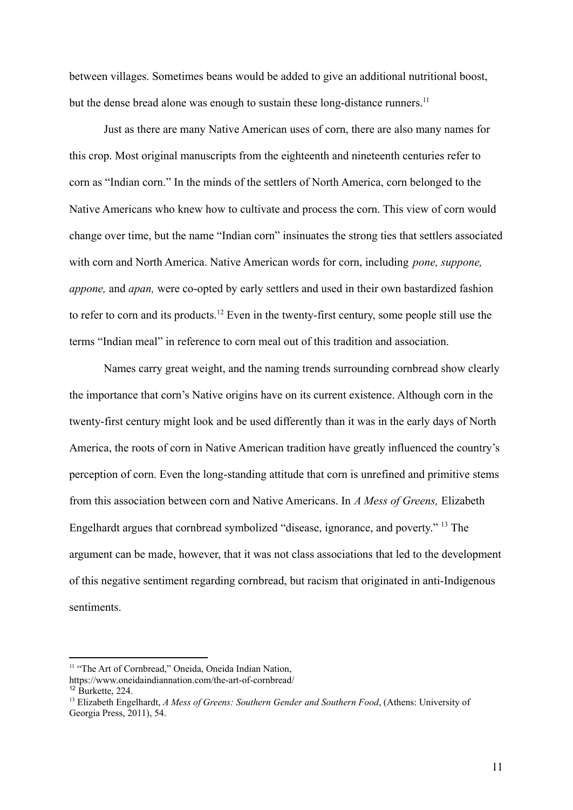between villages. Sometimes beans would be added to give an additional nutritional boost, but the dense bread alone was enough to sustain these long-distance runners.<sup>11</sup>

Just as there are many Native American uses of corn, there are also many names for this crop. Most original manuscripts from the eighteenth and nineteenth centuries refer to corn as "Indian corn." In the minds of the settlers of North America, corn belonged to the Native Americans who knew how to cultivate and process the corn. This view of corn would change over time, but the name "Indian corn" insinuates the strong ties that settlers associated with corn and North America. Native American words for corn, including *pone, suppone, appone,* and *apan,* were co-opted by early settlers and used in their own bastardized fashion to refer to corn and its products.<sup>12</sup> Even in the twenty-first century, some people still use the terms "Indian meal" in reference to corn meal out of this tradition and association.

Names carry great weight, and the naming trends surrounding cornbread show clearly the importance that corn's Native origins have on its current existence. Although corn in the twenty-first century might look and be used differently than it was in the early days of North America, the roots of corn in Native American tradition have greatly influenced the country's perception of corn. Even the long-standing attitude that corn is unrefined and primitive stems from this association between corn and Native Americans. In *A Mess of Greens,* Elizabeth Engelhardt argues that cornbread symbolized "disease, ignorance, and poverty." <sup>13</sup> The argument can be made, however, that it was not class associations that led to the development of this negative sentiment regarding cornbread, but racism that originated in anti-Indigenous sentiments.

<sup>&</sup>lt;sup>11</sup> "The Art of Cornbread," Oneida, Oneida Indian Nation,

https://www.oneidaindiannation.com/the-art-of-cornbread/

 $12$  Burkette, 224.

<sup>13</sup> Elizabeth Engelhardt, *A Mess of Greens: Southern Gender and Southern Food*, (Athens: University of Georgia Press, 2011), 54.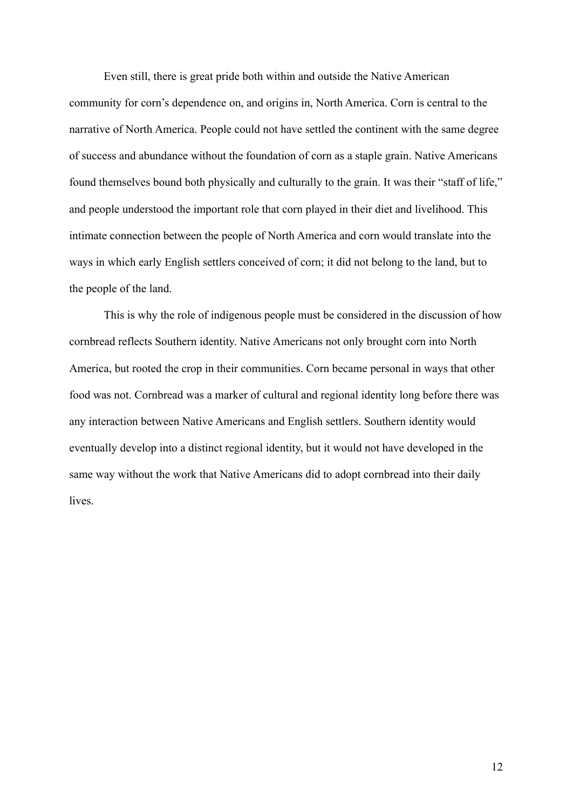Even still, there is great pride both within and outside the Native American community for corn's dependence on, and origins in, North America. Corn is central to the narrative of North America. People could not have settled the continent with the same degree of success and abundance without the foundation of corn as a staple grain. Native Americans found themselves bound both physically and culturally to the grain. It was their "staff of life," and people understood the important role that corn played in their diet and livelihood. This intimate connection between the people of North America and corn would translate into the ways in which early English settlers conceived of corn; it did not belong to the land, but to the people of the land.

This is why the role of indigenous people must be considered in the discussion of how cornbread reflects Southern identity. Native Americans not only brought corn into North America, but rooted the crop in their communities. Corn became personal in ways that other food was not. Cornbread was a marker of cultural and regional identity long before there was any interaction between Native Americans and English settlers. Southern identity would eventually develop into a distinct regional identity, but it would not have developed in the same way without the work that Native Americans did to adopt cornbread into their daily lives.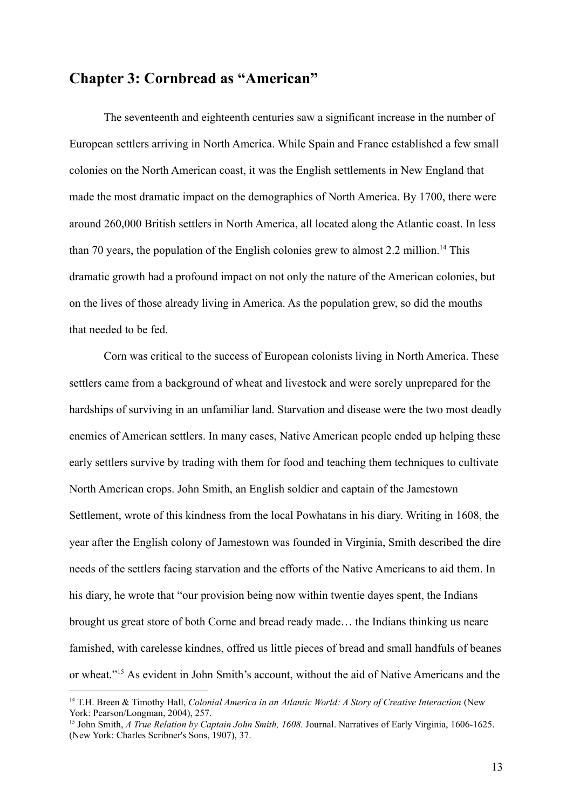## **Chapter 3: Cornbread as "American"**

The seventeenth and eighteenth centuries saw a significant increase in the number of European settlers arriving in North America. While Spain and France established a few small colonies on the North American coast, it was the English settlements in New England that made the most dramatic impact on the demographics of North America. By 1700, there were around 260,000 British settlers in North America, all located along the Atlantic coast. In less than 70 years, the population of the English colonies grew to almost 2.2 million.<sup>14</sup> This dramatic growth had a profound impact on not only the nature of the American colonies, but on the lives of those already living in America. As the population grew, so did the mouths that needed to be fed.

Corn was critical to the success of European colonists living in North America. These settlers came from a background of wheat and livestock and were sorely unprepared for the hardships of surviving in an unfamiliar land. Starvation and disease were the two most deadly enemies of American settlers. In many cases, Native American people ended up helping these early settlers survive by trading with them for food and teaching them techniques to cultivate North American crops. John Smith, an English soldier and captain of the Jamestown Settlement, wrote of this kindness from the local Powhatans in his diary. Writing in 1608, the year after the English colony of Jamestown was founded in Virginia, Smith described the dire needs of the settlers facing starvation and the efforts of the Native Americans to aid them. In his diary, he wrote that "our provision being now within twentie dayes spent, the Indians brought us great store of both Corne and bread ready made… the Indians thinking us neare famished, with carelesse kindnes, offred us little pieces of bread and small handfuls of beanes or wheat."<sup>15</sup> As evident in John Smith's account, without the aid of Native Americans and the

<sup>14</sup> T.H. Breen & Timothy Hall, *Colonial America in an Atlantic World: A Story of Creative Interaction* (New York: Pearson/Longman, 2004), 257.

<sup>15</sup> John Smith, *A True Relation by Captain John Smith, 1608.* Journal. Narratives of Early Virginia, 1606-1625. (New York: Charles Scribner's Sons, 1907), 37.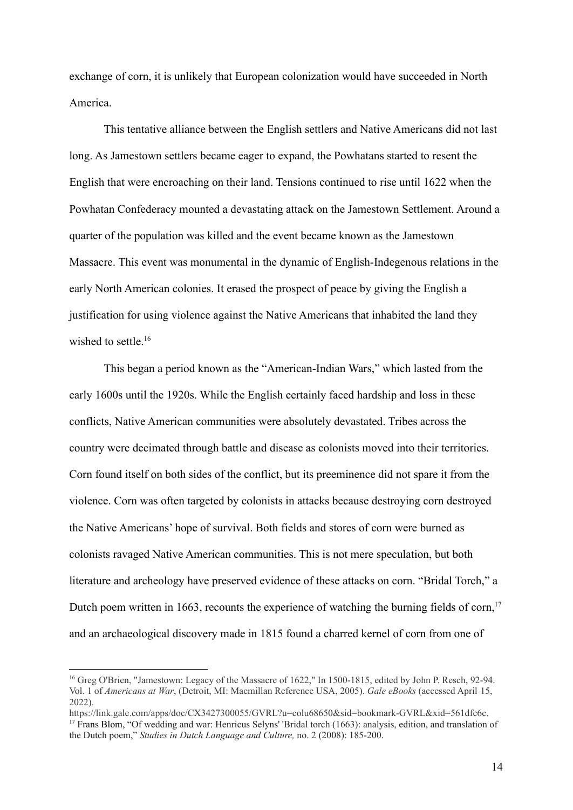exchange of corn, it is unlikely that European colonization would have succeeded in North America.

This tentative alliance between the English settlers and Native Americans did not last long. As Jamestown settlers became eager to expand, the Powhatans started to resent the English that were encroaching on their land. Tensions continued to rise until 1622 when the Powhatan Confederacy mounted a devastating attack on the Jamestown Settlement. Around a quarter of the population was killed and the event became known as the Jamestown Massacre. This event was monumental in the dynamic of English-Indegenous relations in the early North American colonies. It erased the prospect of peace by giving the English a justification for using violence against the Native Americans that inhabited the land they wished to settle.<sup>16</sup>

This began a period known as the "American-Indian Wars," which lasted from the early 1600s until the 1920s. While the English certainly faced hardship and loss in these conflicts, Native American communities were absolutely devastated. Tribes across the country were decimated through battle and disease as colonists moved into their territories. Corn found itself on both sides of the conflict, but its preeminence did not spare it from the violence. Corn was often targeted by colonists in attacks because destroying corn destroyed the Native Americans' hope of survival. Both fields and stores of corn were burned as colonists ravaged Native American communities. This is not mere speculation, but both literature and archeology have preserved evidence of these attacks on corn. "Bridal Torch," a Dutch poem written in 1663, recounts the experience of watching the burning fields of corn, $17$ and an archaeological discovery made in 1815 found a charred kernel of corn from one of

<sup>&</sup>lt;sup>16</sup> Greg O'Brien, "Jamestown: Legacy of the Massacre of 1622," In 1500-1815, edited by John P. Resch, 92-94. Vol. 1 of *Americans at War*, (Detroit, MI: Macmillan Reference USA, 2005). *Gale eBooks* (accessed April 15, 2022).

<sup>&</sup>lt;sup>17</sup> Frans Blom, "Of wedding and war: Henricus Selyns' 'Bridal torch (1663): analysis, edition, and translation of the Dutch poem," *Studies in Dutch Language and Culture,* no. 2 (2008): 185-200. https://link.gale.com/apps/doc/CX3427300055/GVRL?u=colu68650&sid=bookmark-GVRL&xid=561dfc6c.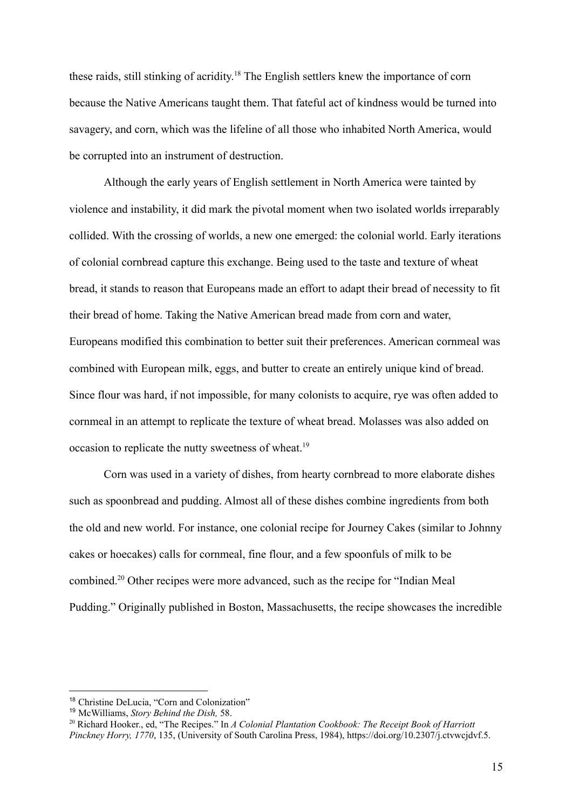these raids, still stinking of acridity. <sup>18</sup> The English settlers knew the importance of corn because the Native Americans taught them. That fateful act of kindness would be turned into savagery, and corn, which was the lifeline of all those who inhabited North America, would be corrupted into an instrument of destruction.

Although the early years of English settlement in North America were tainted by violence and instability, it did mark the pivotal moment when two isolated worlds irreparably collided. With the crossing of worlds, a new one emerged: the colonial world. Early iterations of colonial cornbread capture this exchange. Being used to the taste and texture of wheat bread, it stands to reason that Europeans made an effort to adapt their bread of necessity to fit their bread of home. Taking the Native American bread made from corn and water, Europeans modified this combination to better suit their preferences. American cornmeal was combined with European milk, eggs, and butter to create an entirely unique kind of bread. Since flour was hard, if not impossible, for many colonists to acquire, rye was often added to cornmeal in an attempt to replicate the texture of wheat bread. Molasses was also added on occasion to replicate the nutty sweetness of wheat.<sup>19</sup>

Corn was used in a variety of dishes, from hearty cornbread to more elaborate dishes such as spoonbread and pudding. Almost all of these dishes combine ingredients from both the old and new world. For instance, one colonial recipe for Journey Cakes (similar to Johnny cakes or hoecakes) calls for cornmeal, fine flour, and a few spoonfuls of milk to be combined.<sup>20</sup> Other recipes were more advanced, such as the recipe for "Indian Meal Pudding." Originally published in Boston, Massachusetts, the recipe showcases the incredible

<sup>18</sup> Christine DeLucia, "Corn and Colonization"

<sup>19</sup> McWilliams, *Story Behind the Dish,* 58.

<sup>20</sup> Richard Hooker., ed, "The Recipes." In *A Colonial Plantation Cookbook: The Receipt Book of Harriott Pinckney Horry, 1770*, 135, (University of South Carolina Press, 1984), https://doi.org/10.2307/j.ctvwcjdvf.5.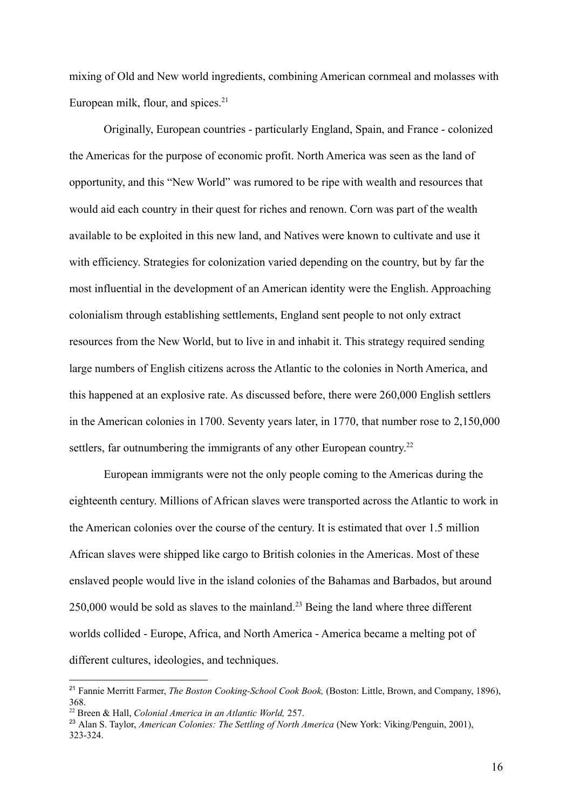mixing of Old and New world ingredients, combining American cornmeal and molasses with European milk, flour, and spices. $21$ 

Originally, European countries - particularly England, Spain, and France - colonized the Americas for the purpose of economic profit. North America was seen as the land of opportunity, and this "New World" was rumored to be ripe with wealth and resources that would aid each country in their quest for riches and renown. Corn was part of the wealth available to be exploited in this new land, and Natives were known to cultivate and use it with efficiency. Strategies for colonization varied depending on the country, but by far the most influential in the development of an American identity were the English. Approaching colonialism through establishing settlements, England sent people to not only extract resources from the New World, but to live in and inhabit it. This strategy required sending large numbers of English citizens across the Atlantic to the colonies in North America, and this happened at an explosive rate. As discussed before, there were 260,000 English settlers in the American colonies in 1700. Seventy years later, in 1770, that number rose to 2,150,000 settlers, far outnumbering the immigrants of any other European country.<sup>22</sup>

European immigrants were not the only people coming to the Americas during the eighteenth century. Millions of African slaves were transported across the Atlantic to work in the American colonies over the course of the century. It is estimated that over 1.5 million African slaves were shipped like cargo to British colonies in the Americas. Most of these enslaved people would live in the island colonies of the Bahamas and Barbados, but around 250,000 would be sold as slaves to the mainland.<sup>23</sup> Being the land where three different worlds collided - Europe, Africa, and North America - America became a melting pot of different cultures, ideologies, and techniques.

<sup>21</sup> Fannie Merritt Farmer, *The Boston Cooking-School Cook Book,* (Boston: Little, Brown, and Company, 1896), 368.

<sup>22</sup> Breen & Hall, *Colonial America in an Atlantic World,* 257.

<sup>23</sup> Alan S. Taylor, *American Colonies: The Settling of North America* (New York: Viking/Penguin, 2001), 323-324.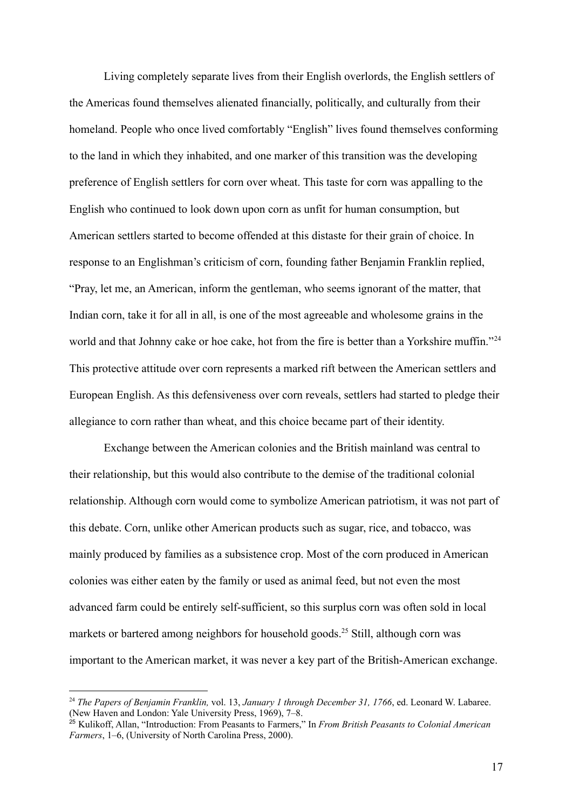Living completely separate lives from their English overlords, the English settlers of the Americas found themselves alienated financially, politically, and culturally from their homeland. People who once lived comfortably "English" lives found themselves conforming to the land in which they inhabited, and one marker of this transition was the developing preference of English settlers for corn over wheat. This taste for corn was appalling to the English who continued to look down upon corn as unfit for human consumption, but American settlers started to become offended at this distaste for their grain of choice. In response to an Englishman's criticism of corn, founding father Benjamin Franklin replied, "Pray, let me, an American, inform the gentleman, who seems ignorant of the matter, that Indian corn, take it for all in all, is one of the most agreeable and wholesome grains in the world and that Johnny cake or hoe cake, hot from the fire is better than a Yorkshire muffin."<sup>24</sup> This protective attitude over corn represents a marked rift between the American settlers and European English. As this defensiveness over corn reveals, settlers had started to pledge their allegiance to corn rather than wheat, and this choice became part of their identity.

Exchange between the American colonies and the British mainland was central to their relationship, but this would also contribute to the demise of the traditional colonial relationship. Although corn would come to symbolize American patriotism, it was not part of this debate. Corn, unlike other American products such as sugar, rice, and tobacco, was mainly produced by families as a subsistence crop. Most of the corn produced in American colonies was either eaten by the family or used as animal feed, but not even the most advanced farm could be entirely self-sufficient, so this surplus corn was often sold in local markets or bartered among neighbors for household goods.<sup>25</sup> Still, although corn was important to the American market, it was never a key part of the British-American exchange.

<sup>24</sup> *The Papers of Benjamin Franklin,* vol. 13, *January 1 through December 31, 1766*, ed. Leonard W. Labaree. (New Haven and London: Yale University Press, 1969), 7–8.

<sup>25</sup> Kulikoff, Allan, "Introduction: From Peasants to Farmers," In *From British Peasants to Colonial American Farmers*, 1–6, (University of North Carolina Press, 2000).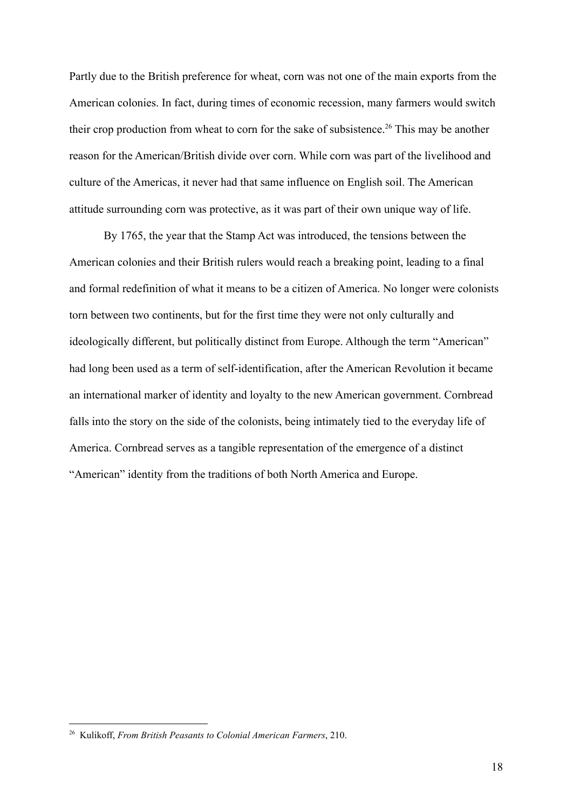Partly due to the British preference for wheat, corn was not one of the main exports from the American colonies. In fact, during times of economic recession, many farmers would switch their crop production from wheat to corn for the sake of subsistence.<sup>26</sup> This may be another reason for the American/British divide over corn. While corn was part of the livelihood and culture of the Americas, it never had that same influence on English soil. The American attitude surrounding corn was protective, as it was part of their own unique way of life.

By 1765, the year that the Stamp Act was introduced, the tensions between the American colonies and their British rulers would reach a breaking point, leading to a final and formal redefinition of what it means to be a citizen of America. No longer were colonists torn between two continents, but for the first time they were not only culturally and ideologically different, but politically distinct from Europe. Although the term "American" had long been used as a term of self-identification, after the American Revolution it became an international marker of identity and loyalty to the new American government. Cornbread falls into the story on the side of the colonists, being intimately tied to the everyday life of America. Cornbread serves as a tangible representation of the emergence of a distinct "American" identity from the traditions of both North America and Europe.

<sup>26</sup> Kulikoff, *From British Peasants to Colonial American Farmers*, 210.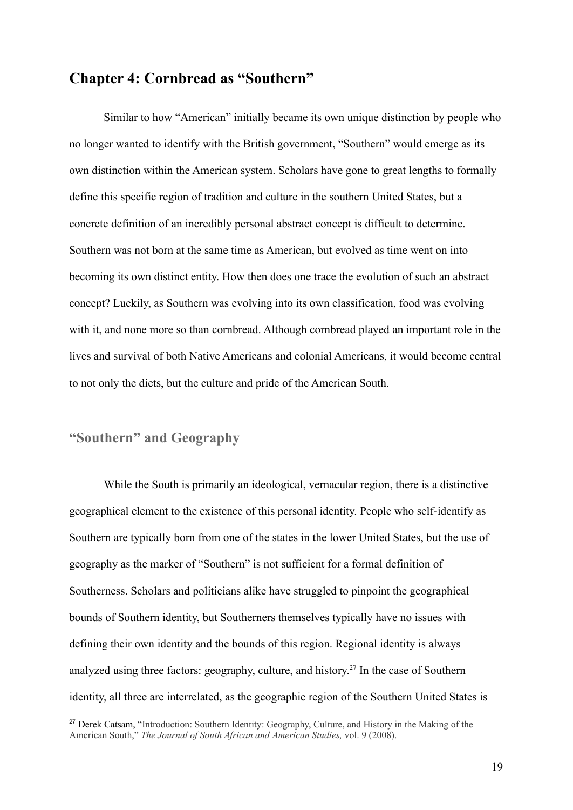## **Chapter 4: Cornbread as "Southern"**

Similar to how "American" initially became its own unique distinction by people who no longer wanted to identify with the British government, "Southern" would emerge as its own distinction within the American system. Scholars have gone to great lengths to formally define this specific region of tradition and culture in the southern United States, but a concrete definition of an incredibly personal abstract concept is difficult to determine. Southern was not born at the same time as American, but evolved as time went on into becoming its own distinct entity. How then does one trace the evolution of such an abstract concept? Luckily, as Southern was evolving into its own classification, food was evolving with it, and none more so than cornbread. Although cornbread played an important role in the lives and survival of both Native Americans and colonial Americans, it would become central to not only the diets, but the culture and pride of the American South.

## **"Southern" and Geography**

While the South is primarily an ideological, vernacular region, there is a distinctive geographical element to the existence of this personal identity. People who self-identify as Southern are typically born from one of the states in the lower United States, but the use of geography as the marker of "Southern" is not sufficient for a formal definition of Southerness. Scholars and politicians alike have struggled to pinpoint the geographical bounds of Southern identity, but Southerners themselves typically have no issues with defining their own identity and the bounds of this region. Regional identity is always analyzed using three factors: geography, culture, and history. 27 In the case of Southern identity, all three are interrelated, as the geographic region of the Southern United States is

<sup>&</sup>lt;sup>27</sup> Derek Catsam, "Introduction: Southern Identity: Geography, Culture, and History in the Making of the American South," *The Journal of South African and American Studies,* vol. 9 (2008).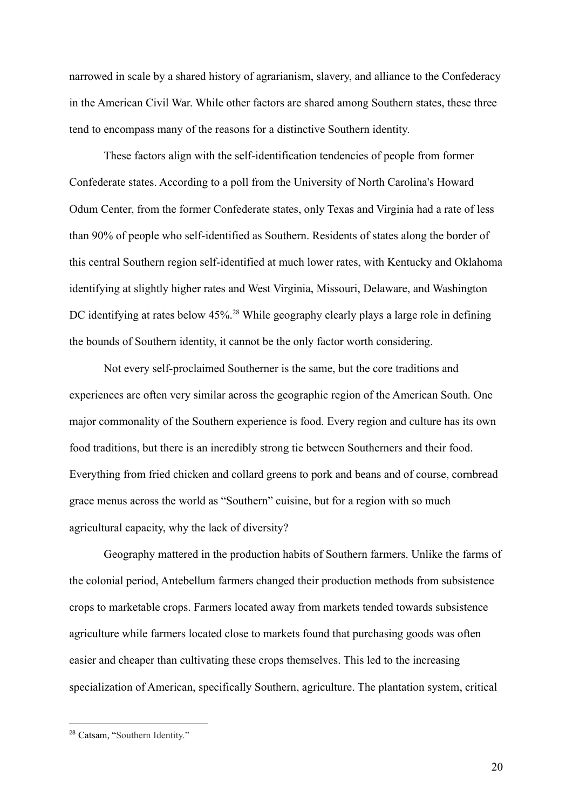narrowed in scale by a shared history of agrarianism, slavery, and alliance to the Confederacy in the American Civil War. While other factors are shared among Southern states, these three tend to encompass many of the reasons for a distinctive Southern identity.

These factors align with the self-identification tendencies of people from former Confederate states. According to a poll from the University of North Carolina's Howard Odum Center, from the former Confederate states, only Texas and Virginia had a rate of less than 90% of people who self-identified as Southern. Residents of states along the border of this central Southern region self-identified at much lower rates, with Kentucky and Oklahoma identifying at slightly higher rates and West Virginia, Missouri, Delaware, and Washington DC identifying at rates below 45%.<sup>28</sup> While geography clearly plays a large role in defining the bounds of Southern identity, it cannot be the only factor worth considering.

Not every self-proclaimed Southerner is the same, but the core traditions and experiences are often very similar across the geographic region of the American South. One major commonality of the Southern experience is food. Every region and culture has its own food traditions, but there is an incredibly strong tie between Southerners and their food. Everything from fried chicken and collard greens to pork and beans and of course, cornbread grace menus across the world as "Southern" cuisine, but for a region with so much agricultural capacity, why the lack of diversity?

Geography mattered in the production habits of Southern farmers. Unlike the farms of the colonial period, Antebellum farmers changed their production methods from subsistence crops to marketable crops. Farmers located away from markets tended towards subsistence agriculture while farmers located close to markets found that purchasing goods was often easier and cheaper than cultivating these crops themselves. This led to the increasing specialization of American, specifically Southern, agriculture. The plantation system, critical

<sup>28</sup> Catsam, "Southern Identity."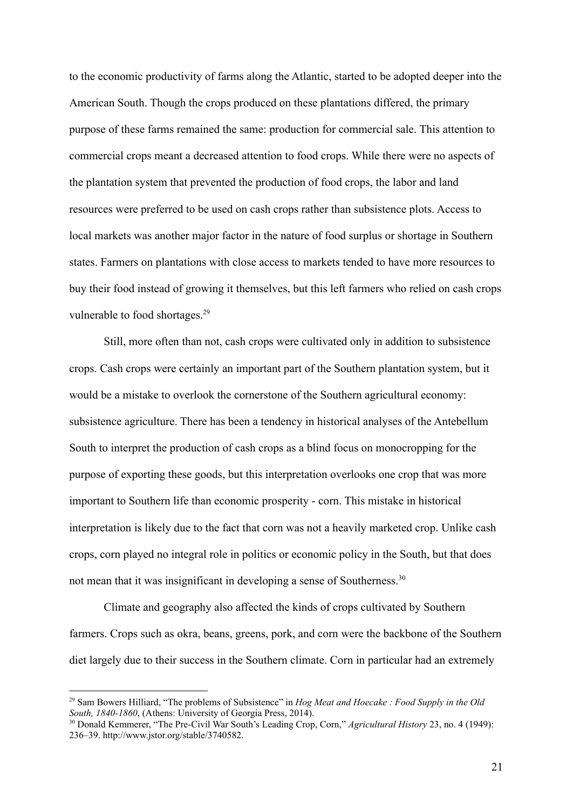to the economic productivity of farms along the Atlantic, started to be adopted deeper into the American South. Though the crops produced on these plantations differed, the primary purpose of these farms remained the same: production for commercial sale. This attention to commercial crops meant a decreased attention to food crops. While there were no aspects of the plantation system that prevented the production of food crops, the labor and land resources were preferred to be used on cash crops rather than subsistence plots. Access to local markets was another major factor in the nature of food surplus or shortage in Southern states. Farmers on plantations with close access to markets tended to have more resources to buy their food instead of growing it themselves, but this left farmers who relied on cash crops vulnerable to food shortages.<sup>29</sup>

Still, more often than not, cash crops were cultivated only in addition to subsistence crops. Cash crops were certainly an important part of the Southern plantation system, but it would be a mistake to overlook the cornerstone of the Southern agricultural economy: subsistence agriculture. There has been a tendency in historical analyses of the Antebellum South to interpret the production of cash crops as a blind focus on monocropping for the purpose of exporting these goods, but this interpretation overlooks one crop that was more important to Southern life than economic prosperity - corn. This mistake in historical interpretation is likely due to the fact that corn was not a heavily marketed crop. Unlike cash crops, corn played no integral role in politics or economic policy in the South, but that does not mean that it was insignificant in developing a sense of Southerness.<sup>30</sup>

Climate and geography also affected the kinds of crops cultivated by Southern farmers. Crops such as okra, beans, greens, pork, and corn were the backbone of the Southern diet largely due to their success in the Southern climate. Corn in particular had an extremely

<sup>29</sup> Sam Bowers Hilliard, "The problems of Subsistence" in *Hog Meat and Hoecake : Food Supply in the Old South, 1840-1860*, (Athens: University of Georgia Press, 2014).

<sup>30</sup> Donald Kemmerer, "The Pre-Civil War South's Leading Crop, Corn," *Agricultural History* 23, no. 4 (1949): 236–39. http://www.jstor.org/stable/3740582.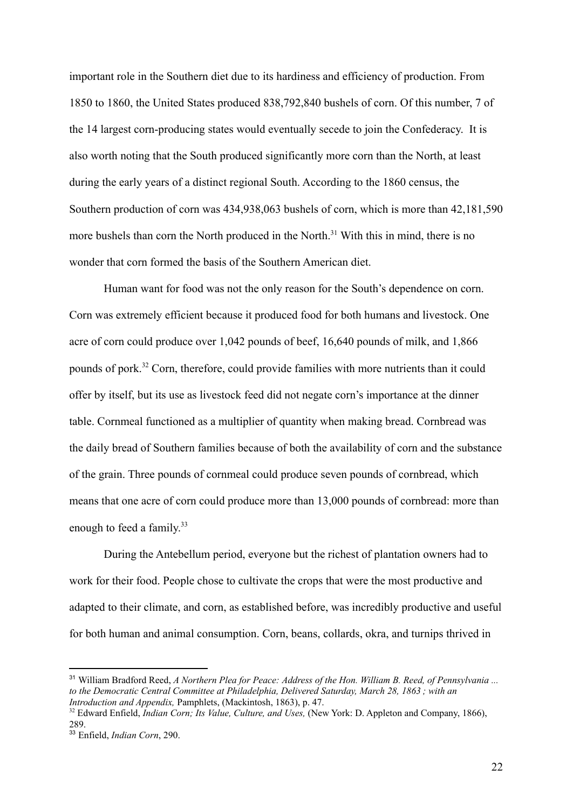important role in the Southern diet due to its hardiness and efficiency of production. From 1850 to 1860, the United States produced 838,792,840 bushels of corn. Of this number, 7 of the 14 largest corn-producing states would eventually secede to join the Confederacy. It is also worth noting that the South produced significantly more corn than the North, at least during the early years of a distinct regional South. According to the 1860 census, the Southern production of corn was 434,938,063 bushels of corn, which is more than 42,181,590 more bushels than corn the North produced in the North.<sup>31</sup> With this in mind, there is no wonder that corn formed the basis of the Southern American diet.

Human want for food was not the only reason for the South's dependence on corn. Corn was extremely efficient because it produced food for both humans and livestock. One acre of corn could produce over 1,042 pounds of beef, 16,640 pounds of milk, and 1,866 pounds of pork.<sup>32</sup> Corn, therefore, could provide families with more nutrients than it could offer by itself, but its use as livestock feed did not negate corn's importance at the dinner table. Cornmeal functioned as a multiplier of quantity when making bread. Cornbread was the daily bread of Southern families because of both the availability of corn and the substance of the grain. Three pounds of cornmeal could produce seven pounds of cornbread, which means that one acre of corn could produce more than 13,000 pounds of cornbread: more than enough to feed a family.<sup>33</sup>

During the Antebellum period, everyone but the richest of plantation owners had to work for their food. People chose to cultivate the crops that were the most productive and adapted to their climate, and corn, as established before, was incredibly productive and useful for both human and animal consumption. Corn, beans, collards, okra, and turnips thrived in

<sup>31</sup> William Bradford Reed, *A Northern Plea for Peace: Address of the Hon. William B. Reed, of Pennsylvania ... to the Democratic Central Committee at Philadelphia, Delivered Saturday, March 28, 1863 ; with an Introduction and Appendix,* Pamphlets, (Mackintosh, 1863), p. 47.

<sup>32</sup> Edward Enfield, *Indian Corn; Its Value, Culture, and Uses,* (New York: D. Appleton and Company, 1866), 289.

<sup>33</sup> Enfield, *Indian Corn*, 290.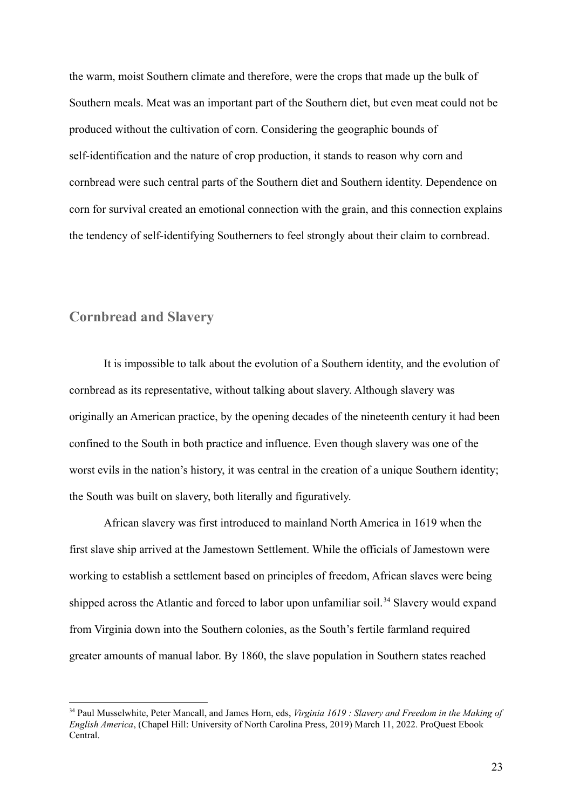the warm, moist Southern climate and therefore, were the crops that made up the bulk of Southern meals. Meat was an important part of the Southern diet, but even meat could not be produced without the cultivation of corn. Considering the geographic bounds of self-identification and the nature of crop production, it stands to reason why corn and cornbread were such central parts of the Southern diet and Southern identity. Dependence on corn for survival created an emotional connection with the grain, and this connection explains the tendency of self-identifying Southerners to feel strongly about their claim to cornbread.

#### **Cornbread and Slavery**

It is impossible to talk about the evolution of a Southern identity, and the evolution of cornbread as its representative, without talking about slavery. Although slavery was originally an American practice, by the opening decades of the nineteenth century it had been confined to the South in both practice and influence. Even though slavery was one of the worst evils in the nation's history, it was central in the creation of a unique Southern identity; the South was built on slavery, both literally and figuratively.

African slavery was first introduced to mainland North America in 1619 when the first slave ship arrived at the Jamestown Settlement. While the officials of Jamestown were working to establish a settlement based on principles of freedom, African slaves were being shipped across the Atlantic and forced to labor upon unfamiliar soil.<sup>34</sup> Slavery would expand from Virginia down into the Southern colonies, as the South's fertile farmland required greater amounts of manual labor. By 1860, the slave population in Southern states reached

<sup>34</sup> Paul Musselwhite, Peter Mancall, and James Horn, eds, *Virginia 1619 : Slavery and Freedom in the Making of English America*, (Chapel Hill: University of North Carolina Press, 2019) March 11, 2022. ProQuest Ebook Central.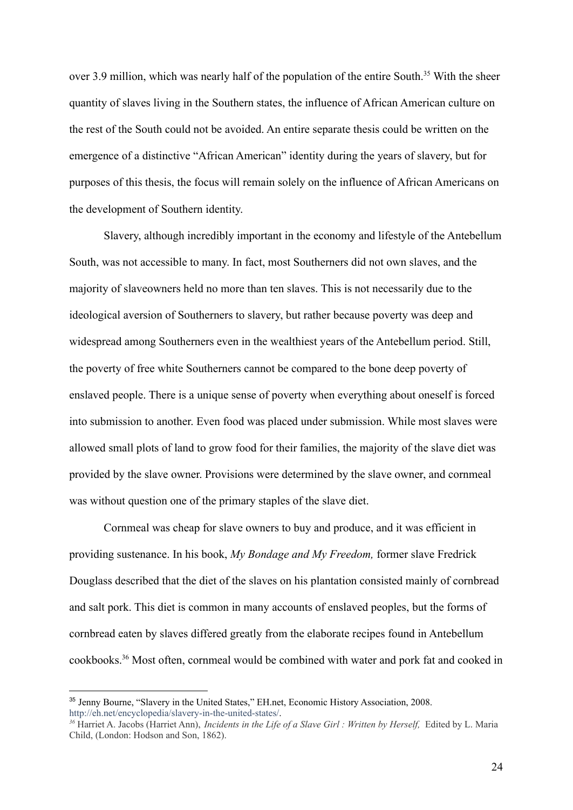over 3.9 million, which was nearly half of the population of the entire South.<sup>35</sup> With the sheer quantity of slaves living in the Southern states, the influence of African American culture on the rest of the South could not be avoided. An entire separate thesis could be written on the emergence of a distinctive "African American" identity during the years of slavery, but for purposes of this thesis, the focus will remain solely on the influence of African Americans on the development of Southern identity.

Slavery, although incredibly important in the economy and lifestyle of the Antebellum South, was not accessible to many. In fact, most Southerners did not own slaves, and the majority of slaveowners held no more than ten slaves. This is not necessarily due to the ideological aversion of Southerners to slavery, but rather because poverty was deep and widespread among Southerners even in the wealthiest years of the Antebellum period. Still, the poverty of free white Southerners cannot be compared to the bone deep poverty of enslaved people. There is a unique sense of poverty when everything about oneself is forced into submission to another. Even food was placed under submission. While most slaves were allowed small plots of land to grow food for their families, the majority of the slave diet was provided by the slave owner. Provisions were determined by the slave owner, and cornmeal was without question one of the primary staples of the slave diet.

Cornmeal was cheap for slave owners to buy and produce, and it was efficient in providing sustenance. In his book, *My Bondage and My Freedom,* former slave Fredrick Douglass described that the diet of the slaves on his plantation consisted mainly of cornbread and salt pork. This diet is common in many accounts of enslaved peoples, but the forms of cornbread eaten by slaves differed greatly from the elaborate recipes found in Antebellum cookbooks.<sup>36</sup> Most often, cornmeal would be combined with water and pork fat and cooked in

<sup>&</sup>lt;sup>35</sup> Jenny Bourne, "Slavery in the United States," EH.net, Economic History Association, 2008. <http://eh.net/encyclopedia/slavery-in-the-united-states/>.

*<sup>36</sup>* Harriet A. Jacobs (Harriet Ann), *Incidents in the Life of a Slave Girl : Written by Herself,* Edited by L. Maria Child, (London: Hodson and Son, 1862).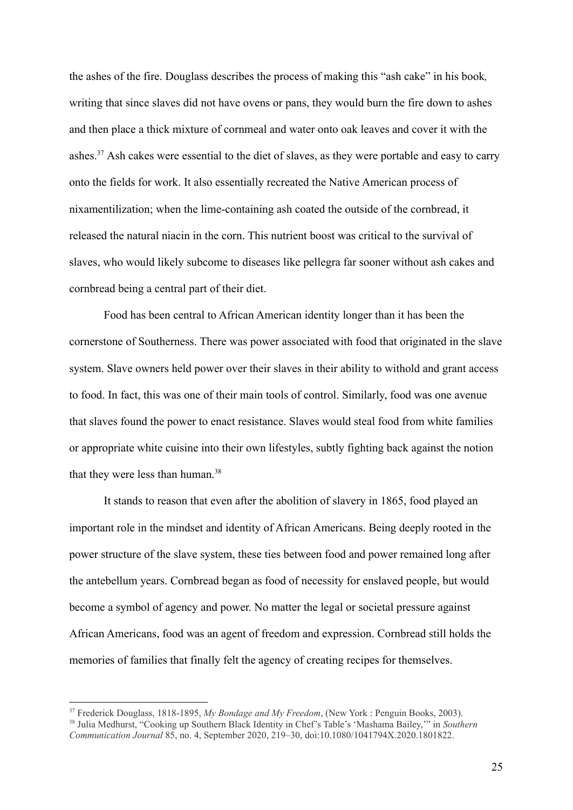the ashes of the fire. Douglass describes the process of making this "ash cake" in his book*,* writing that since slaves did not have ovens or pans, they would burn the fire down to ashes and then place a thick mixture of cornmeal and water onto oak leaves and cover it with the ashes.<sup>37</sup> Ash cakes were essential to the diet of slaves, as they were portable and easy to carry onto the fields for work. It also essentially recreated the Native American process of nixamentilization; when the lime-containing ash coated the outside of the cornbread, it released the natural niacin in the corn. This nutrient boost was critical to the survival of slaves, who would likely subcome to diseases like pellegra far sooner without ash cakes and cornbread being a central part of their diet.

Food has been central to African American identity longer than it has been the cornerstone of Southerness. There was power associated with food that originated in the slave system. Slave owners held power over their slaves in their ability to withold and grant access to food. In fact, this was one of their main tools of control. Similarly, food was one avenue that slaves found the power to enact resistance. Slaves would steal food from white families or appropriate white cuisine into their own lifestyles, subtly fighting back against the notion that they were less than human.<sup>38</sup>

It stands to reason that even after the abolition of slavery in 1865, food played an important role in the mindset and identity of African Americans. Being deeply rooted in the power structure of the slave system, these ties between food and power remained long after the antebellum years. Cornbread began as food of necessity for enslaved people, but would become a symbol of agency and power. No matter the legal or societal pressure against African Americans, food was an agent of freedom and expression. Cornbread still holds the memories of families that finally felt the agency of creating recipes for themselves.

<sup>38</sup> Julia Medhurst, "Cooking up Southern Black Identity in Chef's Table's 'Mashama Bailey,'" in *Southern Communication Journal* 85, no. 4, September 2020, 219–30, doi:10.1080/1041794X.2020.1801822. <sup>37</sup> Frederick Douglass, 1818-1895, *My Bondage and My Freedom*, (New York : Penguin Books, 2003).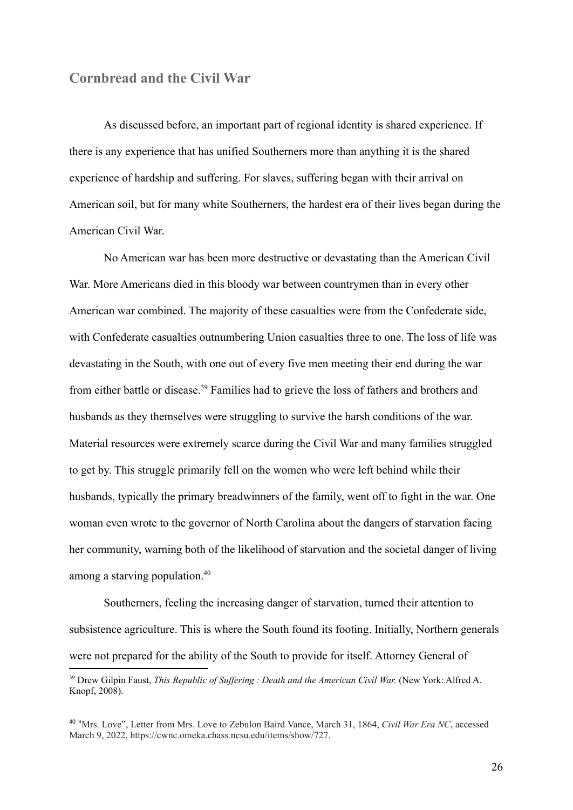#### **Cornbread and the Civil War**

As discussed before, an important part of regional identity is shared experience. If there is any experience that has unified Southerners more than anything it is the shared experience of hardship and suffering. For slaves, suffering began with their arrival on American soil, but for many white Southerners, the hardest era of their lives began during the American Civil War.

No American war has been more destructive or devastating than the American Civil War. More Americans died in this bloody war between countrymen than in every other American war combined. The majority of these casualties were from the Confederate side, with Confederate casualties outnumbering Union casualties three to one. The loss of life was devastating in the South, with one out of every five men meeting their end during the war from either battle or disease.<sup>39</sup> Families had to grieve the loss of fathers and brothers and husbands as they themselves were struggling to survive the harsh conditions of the war. Material resources were extremely scarce during the Civil War and many families struggled to get by. This struggle primarily fell on the women who were left behind while their husbands, typically the primary breadwinners of the family, went off to fight in the war. One woman even wrote to the governor of North Carolina about the dangers of starvation facing her community, warning both of the likelihood of starvation and the societal danger of living among a starving population.<sup>40</sup>

Southerners, feeling the increasing danger of starvation, turned their attention to subsistence agriculture. This is where the South found its footing. Initially, Northern generals were not prepared for the ability of the South to provide for itself. Attorney General of

<sup>&</sup>lt;sup>39</sup> Drew Gilpin Faust, *This Republic of Suffering : Death and the American Civil War.* (New York: Alfred A. Knopf, 2008).

<sup>40</sup> "Mrs. Love", Letter from Mrs. Love to Zebulon Baird Vance, March 31, 1864, *Civil War Era NC*, accessed March 9, 2022, https://cwnc.omeka.chass.ncsu.edu/items/show/727.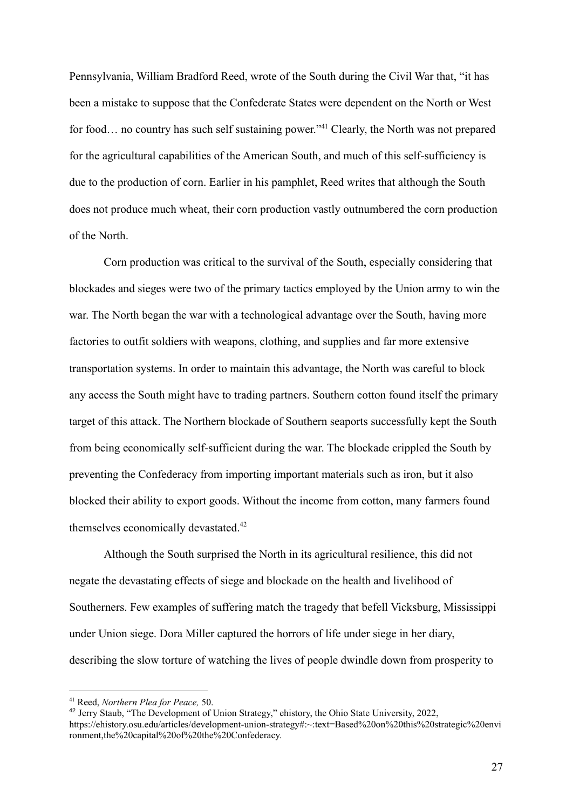Pennsylvania, William Bradford Reed, wrote of the South during the Civil War that, "it has been a mistake to suppose that the Confederate States were dependent on the North or West for food... no country has such self sustaining power."<sup>41</sup> Clearly, the North was not prepared for the agricultural capabilities of the American South, and much of this self-sufficiency is due to the production of corn. Earlier in his pamphlet, Reed writes that although the South does not produce much wheat, their corn production vastly outnumbered the corn production of the North.

Corn production was critical to the survival of the South, especially considering that blockades and sieges were two of the primary tactics employed by the Union army to win the war. The North began the war with a technological advantage over the South, having more factories to outfit soldiers with weapons, clothing, and supplies and far more extensive transportation systems. In order to maintain this advantage, the North was careful to block any access the South might have to trading partners. Southern cotton found itself the primary target of this attack. The Northern blockade of Southern seaports successfully kept the South from being economically self-sufficient during the war. The blockade crippled the South by preventing the Confederacy from importing important materials such as iron, but it also blocked their ability to export goods. Without the income from cotton, many farmers found themselves economically devastated.<sup>42</sup>

Although the South surprised the North in its agricultural resilience, this did not negate the devastating effects of siege and blockade on the health and livelihood of Southerners. Few examples of suffering match the tragedy that befell Vicksburg, Mississippi under Union siege. Dora Miller captured the horrors of life under siege in her diary, describing the slow torture of watching the lives of people dwindle down from prosperity to

<sup>41</sup> Reed, *Northern Plea for Peace,* 50.

<sup>42</sup> Jerry Staub, "The Development of Union Strategy," ehistory, the Ohio State University, 2022, https://ehistory.osu.edu/articles/development-union-strategy#:~:text=Based%20on%20this%20strategic%20envi ronment,the%20capital%20of%20the%20Confederacy.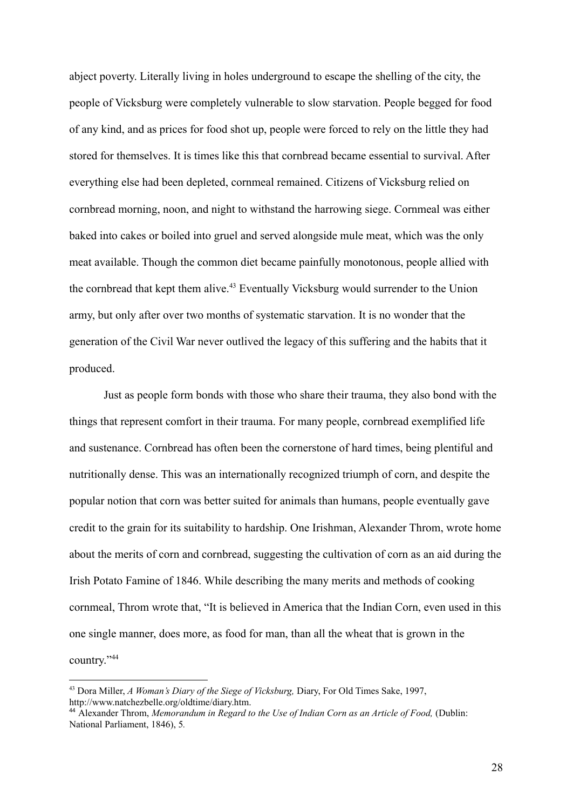abject poverty. Literally living in holes underground to escape the shelling of the city, the people of Vicksburg were completely vulnerable to slow starvation. People begged for food of any kind, and as prices for food shot up, people were forced to rely on the little they had stored for themselves. It is times like this that cornbread became essential to survival. After everything else had been depleted, cornmeal remained. Citizens of Vicksburg relied on cornbread morning, noon, and night to withstand the harrowing siege. Cornmeal was either baked into cakes or boiled into gruel and served alongside mule meat, which was the only meat available. Though the common diet became painfully monotonous, people allied with the cornbread that kept them alive.<sup>43</sup> Eventually Vicksburg would surrender to the Union army, but only after over two months of systematic starvation. It is no wonder that the generation of the Civil War never outlived the legacy of this suffering and the habits that it produced.

Just as people form bonds with those who share their trauma, they also bond with the things that represent comfort in their trauma. For many people, cornbread exemplified life and sustenance. Cornbread has often been the cornerstone of hard times, being plentiful and nutritionally dense. This was an internationally recognized triumph of corn, and despite the popular notion that corn was better suited for animals than humans, people eventually gave credit to the grain for its suitability to hardship. One Irishman, Alexander Throm, wrote home about the merits of corn and cornbread, suggesting the cultivation of corn as an aid during the Irish Potato Famine of 1846. While describing the many merits and methods of cooking cornmeal, Throm wrote that, "It is believed in America that the Indian Corn, even used in this one single manner, does more, as food for man, than all the wheat that is grown in the country."<sup>44</sup>

<sup>43</sup> Dora Miller, *A Woman's Diary of the Siege of Vicksburg,* Diary, For Old Times Sake, 1997, http://www.natchezbelle.org/oldtime/diary.htm.

<sup>44</sup> Alexander Throm, *Memorandum in Regard to the Use of Indian Corn as an Article of Food,* (Dublin: National Parliament, 1846), 5*.*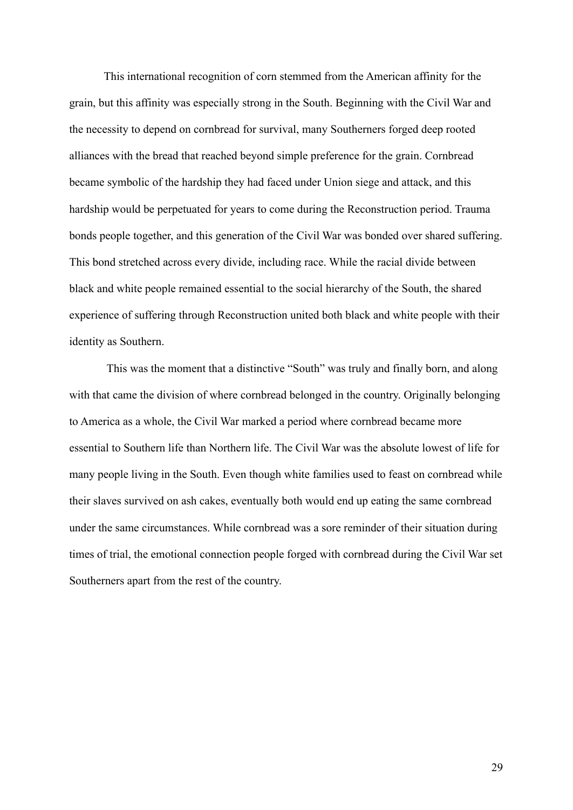This international recognition of corn stemmed from the American affinity for the grain, but this affinity was especially strong in the South. Beginning with the Civil War and the necessity to depend on cornbread for survival, many Southerners forged deep rooted alliances with the bread that reached beyond simple preference for the grain. Cornbread became symbolic of the hardship they had faced under Union siege and attack, and this hardship would be perpetuated for years to come during the Reconstruction period. Trauma bonds people together, and this generation of the Civil War was bonded over shared suffering. This bond stretched across every divide, including race. While the racial divide between black and white people remained essential to the social hierarchy of the South, the shared experience of suffering through Reconstruction united both black and white people with their identity as Southern.

This was the moment that a distinctive "South" was truly and finally born, and along with that came the division of where cornbread belonged in the country. Originally belonging to America as a whole, the Civil War marked a period where cornbread became more essential to Southern life than Northern life. The Civil War was the absolute lowest of life for many people living in the South. Even though white families used to feast on cornbread while their slaves survived on ash cakes, eventually both would end up eating the same cornbread under the same circumstances. While cornbread was a sore reminder of their situation during times of trial, the emotional connection people forged with cornbread during the Civil War set Southerners apart from the rest of the country.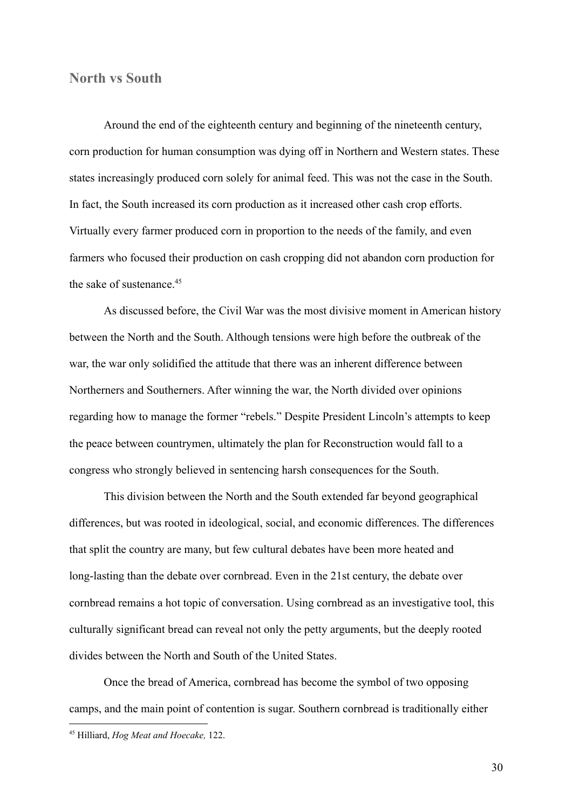#### **North vs South**

Around the end of the eighteenth century and beginning of the nineteenth century, corn production for human consumption was dying off in Northern and Western states. These states increasingly produced corn solely for animal feed. This was not the case in the South. In fact, the South increased its corn production as it increased other cash crop efforts. Virtually every farmer produced corn in proportion to the needs of the family, and even farmers who focused their production on cash cropping did not abandon corn production for the sake of sustenance.<sup>45</sup>

As discussed before, the Civil War was the most divisive moment in American history between the North and the South. Although tensions were high before the outbreak of the war, the war only solidified the attitude that there was an inherent difference between Northerners and Southerners. After winning the war, the North divided over opinions regarding how to manage the former "rebels." Despite President Lincoln's attempts to keep the peace between countrymen, ultimately the plan for Reconstruction would fall to a congress who strongly believed in sentencing harsh consequences for the South.

This division between the North and the South extended far beyond geographical differences, but was rooted in ideological, social, and economic differences. The differences that split the country are many, but few cultural debates have been more heated and long-lasting than the debate over cornbread. Even in the 21st century, the debate over cornbread remains a hot topic of conversation. Using cornbread as an investigative tool, this culturally significant bread can reveal not only the petty arguments, but the deeply rooted divides between the North and South of the United States.

Once the bread of America, cornbread has become the symbol of two opposing camps, and the main point of contention is sugar. Southern cornbread is traditionally either

30

<sup>45</sup> Hilliard, *Hog Meat and Hoecake,* 122.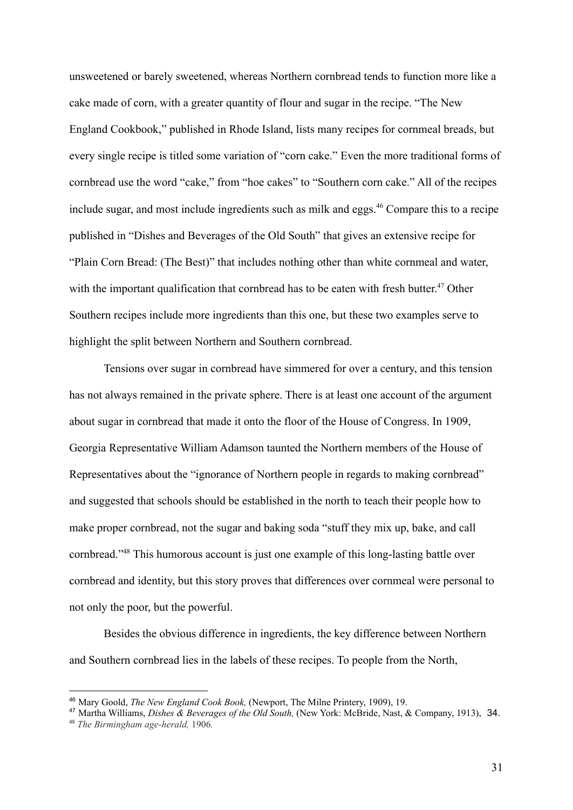unsweetened or barely sweetened, whereas Northern cornbread tends to function more like a cake made of corn, with a greater quantity of flour and sugar in the recipe. "The New England Cookbook," published in Rhode Island, lists many recipes for cornmeal breads, but every single recipe is titled some variation of "corn cake." Even the more traditional forms of cornbread use the word "cake," from "hoe cakes" to "Southern corn cake." All of the recipes include sugar, and most include ingredients such as milk and eggs.<sup>46</sup> Compare this to a recipe published in "Dishes and Beverages of the Old South" that gives an extensive recipe for "Plain Corn Bread: (The Best)" that includes nothing other than white cornmeal and water, with the important qualification that cornbread has to be eaten with fresh butter.<sup>47</sup> Other Southern recipes include more ingredients than this one, but these two examples serve to highlight the split between Northern and Southern cornbread.

Tensions over sugar in cornbread have simmered for over a century, and this tension has not always remained in the private sphere. There is at least one account of the argument about sugar in cornbread that made it onto the floor of the House of Congress. In 1909, Georgia Representative William Adamson taunted the Northern members of the House of Representatives about the "ignorance of Northern people in regards to making cornbread" and suggested that schools should be established in the north to teach their people how to make proper cornbread, not the sugar and baking soda "stuff they mix up, bake, and call cornbread."<sup>48</sup> This humorous account is just one example of this long-lasting battle over cornbread and identity, but this story proves that differences over cornmeal were personal to not only the poor, but the powerful.

Besides the obvious difference in ingredients, the key difference between Northern and Southern cornbread lies in the labels of these recipes. To people from the North,

<sup>46</sup> Mary Goold, *The New England Cook Book,* (Newport, The Milne Printery, 1909), 19.

<sup>47</sup> Martha Williams, *Dishes & Beverages of the Old South,* (New York: McBride, Nast, & Company, 1913), 34.

<sup>48</sup> *The Birmingham age-herald,* 1906*.*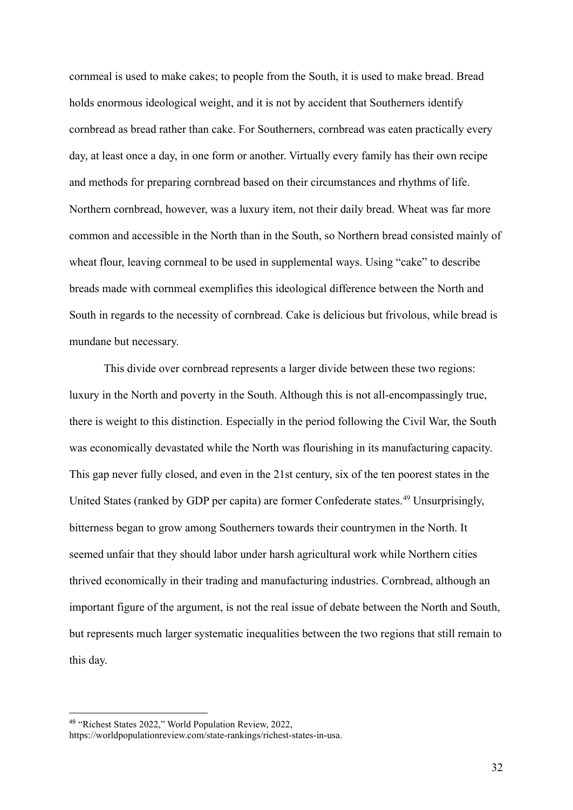cornmeal is used to make cakes; to people from the South, it is used to make bread. Bread holds enormous ideological weight, and it is not by accident that Southerners identify cornbread as bread rather than cake. For Southerners, cornbread was eaten practically every day, at least once a day, in one form or another. Virtually every family has their own recipe and methods for preparing cornbread based on their circumstances and rhythms of life. Northern cornbread, however, was a luxury item, not their daily bread. Wheat was far more common and accessible in the North than in the South, so Northern bread consisted mainly of wheat flour, leaving cornmeal to be used in supplemental ways. Using "cake" to describe breads made with cornmeal exemplifies this ideological difference between the North and South in regards to the necessity of cornbread. Cake is delicious but frivolous, while bread is mundane but necessary.

This divide over cornbread represents a larger divide between these two regions: luxury in the North and poverty in the South. Although this is not all-encompassingly true, there is weight to this distinction. Especially in the period following the Civil War, the South was economically devastated while the North was flourishing in its manufacturing capacity. This gap never fully closed, and even in the 21st century, six of the ten poorest states in the United States (ranked by GDP per capita) are former Confederate states.<sup>49</sup> Unsurprisingly, bitterness began to grow among Southerners towards their countrymen in the North. It seemed unfair that they should labor under harsh agricultural work while Northern cities thrived economically in their trading and manufacturing industries. Cornbread, although an important figure of the argument, is not the real issue of debate between the North and South, but represents much larger systematic inequalities between the two regions that still remain to this day.

<sup>49</sup> "Richest States 2022," World Population Review, 2022,

https://worldpopulationreview.com/state-rankings/richest-states-in-usa.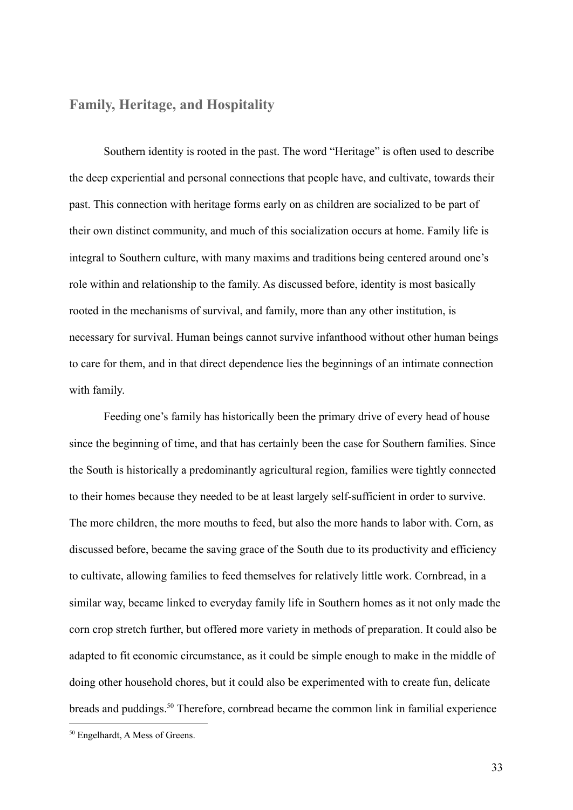## **Family, Heritage, and Hospitality**

Southern identity is rooted in the past. The word "Heritage" is often used to describe the deep experiential and personal connections that people have, and cultivate, towards their past. This connection with heritage forms early on as children are socialized to be part of their own distinct community, and much of this socialization occurs at home. Family life is integral to Southern culture, with many maxims and traditions being centered around one's role within and relationship to the family. As discussed before, identity is most basically rooted in the mechanisms of survival, and family, more than any other institution, is necessary for survival. Human beings cannot survive infanthood without other human beings to care for them, and in that direct dependence lies the beginnings of an intimate connection with family.

Feeding one's family has historically been the primary drive of every head of house since the beginning of time, and that has certainly been the case for Southern families. Since the South is historically a predominantly agricultural region, families were tightly connected to their homes because they needed to be at least largely self-sufficient in order to survive. The more children, the more mouths to feed, but also the more hands to labor with. Corn, as discussed before, became the saving grace of the South due to its productivity and efficiency to cultivate, allowing families to feed themselves for relatively little work. Cornbread, in a similar way, became linked to everyday family life in Southern homes as it not only made the corn crop stretch further, but offered more variety in methods of preparation. It could also be adapted to fit economic circumstance, as it could be simple enough to make in the middle of doing other household chores, but it could also be experimented with to create fun, delicate breads and puddings.<sup>50</sup> Therefore, cornbread became the common link in familial experience

33

<sup>50</sup> Engelhardt, A Mess of Greens.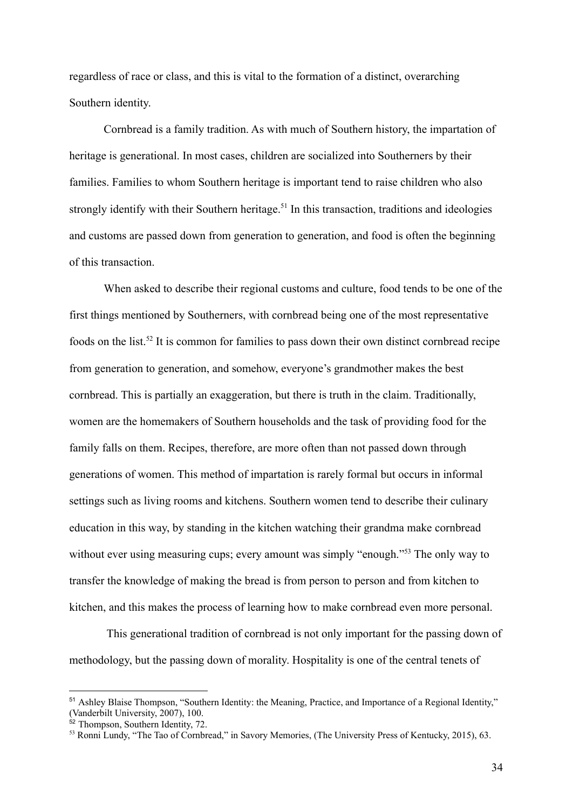regardless of race or class, and this is vital to the formation of a distinct, overarching Southern identity.

Cornbread is a family tradition. As with much of Southern history, the impartation of heritage is generational. In most cases, children are socialized into Southerners by their families. Families to whom Southern heritage is important tend to raise children who also strongly identify with their Southern heritage.<sup>51</sup> In this transaction, traditions and ideologies and customs are passed down from generation to generation, and food is often the beginning of this transaction.

When asked to describe their regional customs and culture, food tends to be one of the first things mentioned by Southerners, with cornbread being one of the most representative foods on the list.<sup>52</sup> It is common for families to pass down their own distinct cornbread recipe from generation to generation, and somehow, everyone's grandmother makes the best cornbread. This is partially an exaggeration, but there is truth in the claim. Traditionally, women are the homemakers of Southern households and the task of providing food for the family falls on them. Recipes, therefore, are more often than not passed down through generations of women. This method of impartation is rarely formal but occurs in informal settings such as living rooms and kitchens. Southern women tend to describe their culinary education in this way, by standing in the kitchen watching their grandma make cornbread without ever using measuring cups; every amount was simply "enough."<sup>53</sup> The only way to transfer the knowledge of making the bread is from person to person and from kitchen to kitchen, and this makes the process of learning how to make cornbread even more personal.

This generational tradition of cornbread is not only important for the passing down of methodology, but the passing down of morality. Hospitality is one of the central tenets of

<sup>51</sup> Ashley Blaise Thompson, "Southern Identity: the Meaning, Practice, and Importance of a Regional Identity," (Vanderbilt University, 2007), 100.

<sup>&</sup>lt;sup>52</sup> Thompson, Southern Identity, 72.

<sup>&</sup>lt;sup>53</sup> Ronni Lundy, "The Tao of Cornbread," in Savory Memories, (The University Press of Kentucky, 2015), 63.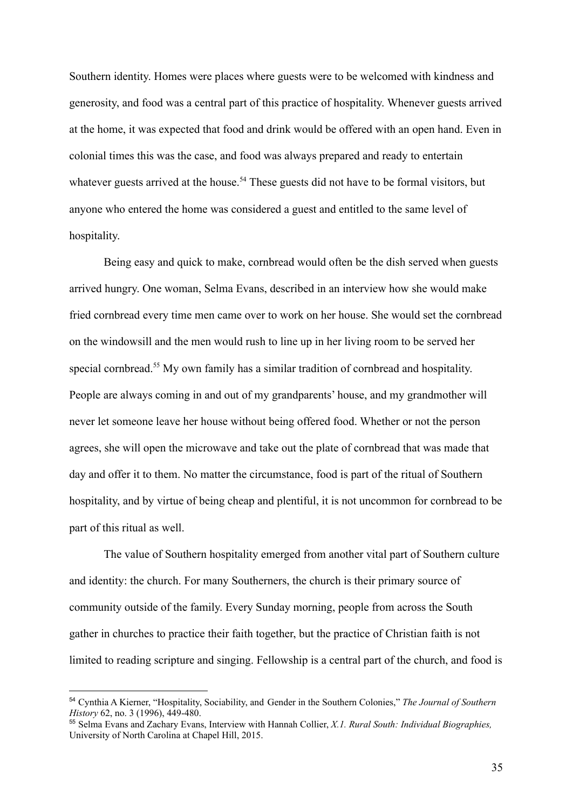Southern identity. Homes were places where guests were to be welcomed with kindness and generosity, and food was a central part of this practice of hospitality. Whenever guests arrived at the home, it was expected that food and drink would be offered with an open hand. Even in colonial times this was the case, and food was always prepared and ready to entertain whatever guests arrived at the house.<sup>54</sup> These guests did not have to be formal visitors, but anyone who entered the home was considered a guest and entitled to the same level of hospitality.

Being easy and quick to make, cornbread would often be the dish served when guests arrived hungry. One woman, Selma Evans, described in an interview how she would make fried cornbread every time men came over to work on her house. She would set the cornbread on the windowsill and the men would rush to line up in her living room to be served her special cornbread.<sup>55</sup> My own family has a similar tradition of cornbread and hospitality. People are always coming in and out of my grandparents' house, and my grandmother will never let someone leave her house without being offered food. Whether or not the person agrees, she will open the microwave and take out the plate of cornbread that was made that day and offer it to them. No matter the circumstance, food is part of the ritual of Southern hospitality, and by virtue of being cheap and plentiful, it is not uncommon for cornbread to be part of this ritual as well.

The value of Southern hospitality emerged from another vital part of Southern culture and identity: the church. For many Southerners, the church is their primary source of community outside of the family. Every Sunday morning, people from across the South gather in churches to practice their faith together, but the practice of Christian faith is not limited to reading scripture and singing. Fellowship is a central part of the church, and food is

<sup>54</sup> Cynthia A Kierner, "Hospitality, Sociability, and Gender in the Southern Colonies," *The Journal of Southern History* 62, no. 3 (1996), 449-480.

<sup>55</sup> Selma Evans and Zachary Evans, Interview with Hannah Collier, *X.1. Rural South: Individual Biographies,* University of North Carolina at Chapel Hill, 2015.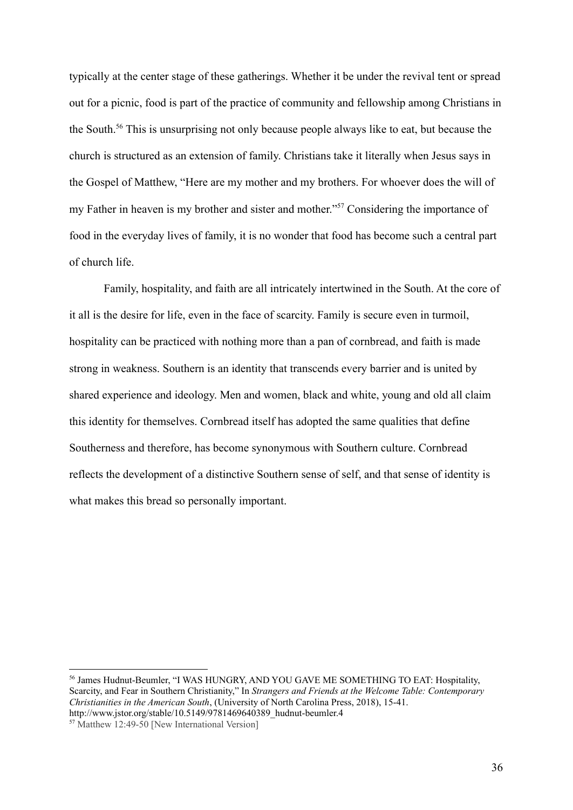typically at the center stage of these gatherings. Whether it be under the revival tent or spread out for a picnic, food is part of the practice of community and fellowship among Christians in the South.<sup>56</sup> This is unsurprising not only because people always like to eat, but because the church is structured as an extension of family. Christians take it literally when Jesus says in the Gospel of Matthew, "Here are my mother and my brothers. For whoever does the will of my Father in heaven is my brother and sister and mother."<sup>57</sup> Considering the importance of food in the everyday lives of family, it is no wonder that food has become such a central part of church life.

Family, hospitality, and faith are all intricately intertwined in the South. At the core of it all is the desire for life, even in the face of scarcity. Family is secure even in turmoil, hospitality can be practiced with nothing more than a pan of cornbread, and faith is made strong in weakness. Southern is an identity that transcends every barrier and is united by shared experience and ideology. Men and women, black and white, young and old all claim this identity for themselves. Cornbread itself has adopted the same qualities that define Southerness and therefore, has become synonymous with Southern culture. Cornbread reflects the development of a distinctive Southern sense of self, and that sense of identity is what makes this bread so personally important.

<sup>56</sup> James Hudnut-Beumler, "I WAS HUNGRY, AND YOU GAVE ME SOMETHING TO EAT: Hospitality, Scarcity, and Fear in Southern Christianity," In *Strangers and Friends at the Welcome Table: Contemporary Christianities in the American South*, (University of North Carolina Press, 2018), 15-41. http://www.jstor.org/stable/10.5149/9781469640389\_hudnut-beumler.4

<sup>57</sup> Matthew 12:49-50 [New International Version]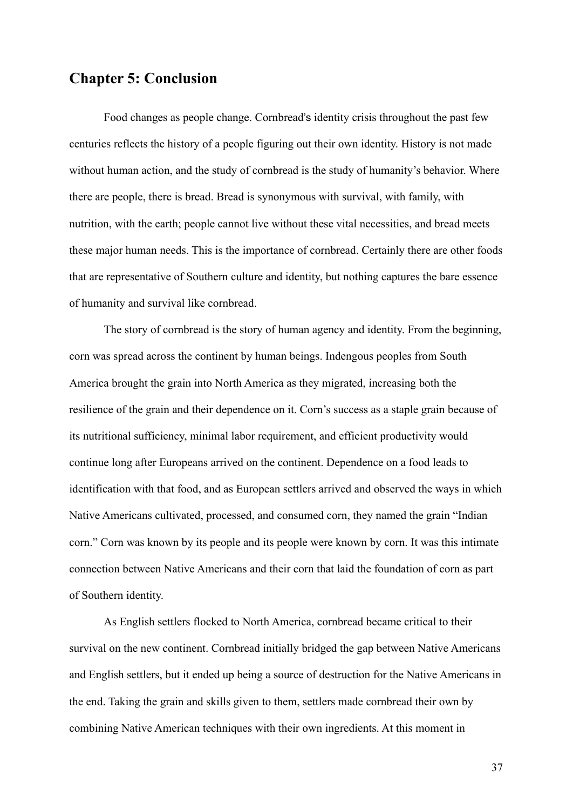## **Chapter 5: Conclusion**

Food changes as people change. Cornbread's identity crisis throughout the past few centuries reflects the history of a people figuring out their own identity. History is not made without human action, and the study of cornbread is the study of humanity's behavior. Where there are people, there is bread. Bread is synonymous with survival, with family, with nutrition, with the earth; people cannot live without these vital necessities, and bread meets these major human needs. This is the importance of cornbread. Certainly there are other foods that are representative of Southern culture and identity, but nothing captures the bare essence of humanity and survival like cornbread.

The story of cornbread is the story of human agency and identity. From the beginning, corn was spread across the continent by human beings. Indengous peoples from South America brought the grain into North America as they migrated, increasing both the resilience of the grain and their dependence on it. Corn's success as a staple grain because of its nutritional sufficiency, minimal labor requirement, and efficient productivity would continue long after Europeans arrived on the continent. Dependence on a food leads to identification with that food, and as European settlers arrived and observed the ways in which Native Americans cultivated, processed, and consumed corn, they named the grain "Indian corn." Corn was known by its people and its people were known by corn. It was this intimate connection between Native Americans and their corn that laid the foundation of corn as part of Southern identity.

As English settlers flocked to North America, cornbread became critical to their survival on the new continent. Cornbread initially bridged the gap between Native Americans and English settlers, but it ended up being a source of destruction for the Native Americans in the end. Taking the grain and skills given to them, settlers made cornbread their own by combining Native American techniques with their own ingredients. At this moment in

37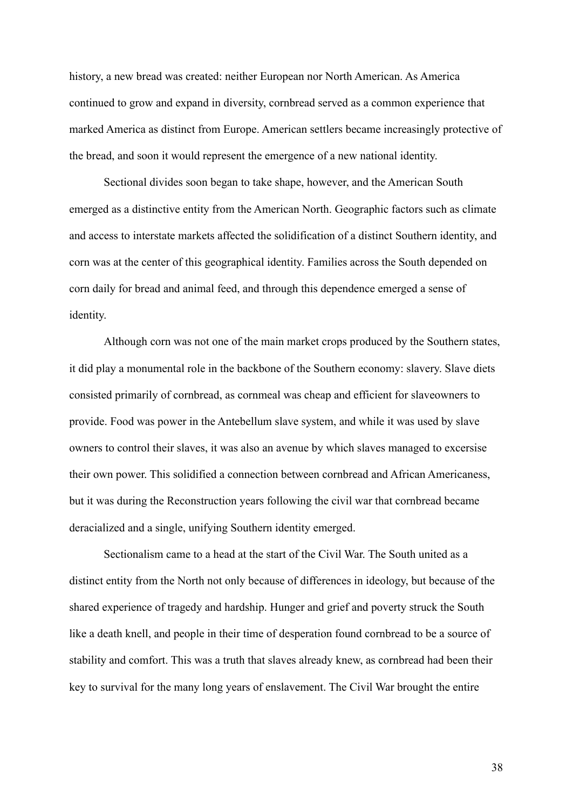history, a new bread was created: neither European nor North American. As America continued to grow and expand in diversity, cornbread served as a common experience that marked America as distinct from Europe. American settlers became increasingly protective of the bread, and soon it would represent the emergence of a new national identity.

Sectional divides soon began to take shape, however, and the American South emerged as a distinctive entity from the American North. Geographic factors such as climate and access to interstate markets affected the solidification of a distinct Southern identity, and corn was at the center of this geographical identity. Families across the South depended on corn daily for bread and animal feed, and through this dependence emerged a sense of identity.

Although corn was not one of the main market crops produced by the Southern states, it did play a monumental role in the backbone of the Southern economy: slavery. Slave diets consisted primarily of cornbread, as cornmeal was cheap and efficient for slaveowners to provide. Food was power in the Antebellum slave system, and while it was used by slave owners to control their slaves, it was also an avenue by which slaves managed to excersise their own power. This solidified a connection between cornbread and African Americaness, but it was during the Reconstruction years following the civil war that cornbread became deracialized and a single, unifying Southern identity emerged.

Sectionalism came to a head at the start of the Civil War. The South united as a distinct entity from the North not only because of differences in ideology, but because of the shared experience of tragedy and hardship. Hunger and grief and poverty struck the South like a death knell, and people in their time of desperation found cornbread to be a source of stability and comfort. This was a truth that slaves already knew, as cornbread had been their key to survival for the many long years of enslavement. The Civil War brought the entire

38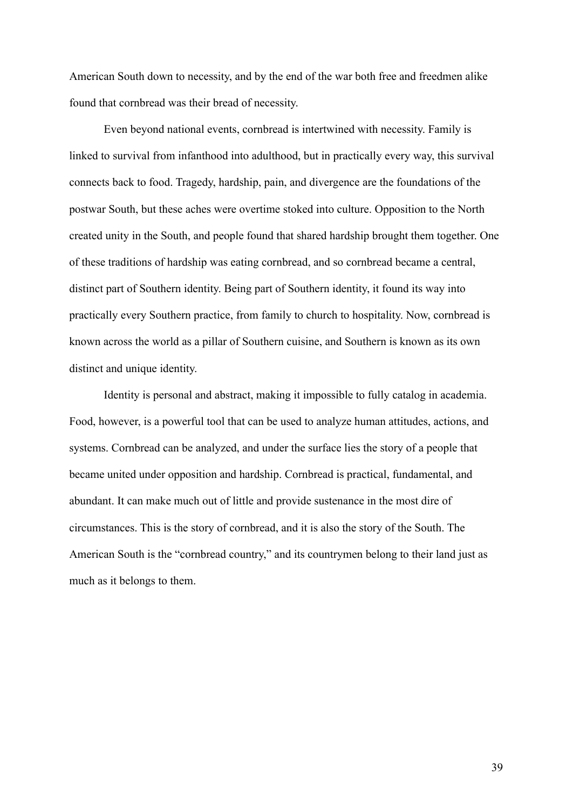American South down to necessity, and by the end of the war both free and freedmen alike found that cornbread was their bread of necessity.

Even beyond national events, cornbread is intertwined with necessity. Family is linked to survival from infanthood into adulthood, but in practically every way, this survival connects back to food. Tragedy, hardship, pain, and divergence are the foundations of the postwar South, but these aches were overtime stoked into culture. Opposition to the North created unity in the South, and people found that shared hardship brought them together. One of these traditions of hardship was eating cornbread, and so cornbread became a central, distinct part of Southern identity. Being part of Southern identity, it found its way into practically every Southern practice, from family to church to hospitality. Now, cornbread is known across the world as a pillar of Southern cuisine, and Southern is known as its own distinct and unique identity.

Identity is personal and abstract, making it impossible to fully catalog in academia. Food, however, is a powerful tool that can be used to analyze human attitudes, actions, and systems. Cornbread can be analyzed, and under the surface lies the story of a people that became united under opposition and hardship. Cornbread is practical, fundamental, and abundant. It can make much out of little and provide sustenance in the most dire of circumstances. This is the story of cornbread, and it is also the story of the South. The American South is the "cornbread country," and its countrymen belong to their land just as much as it belongs to them.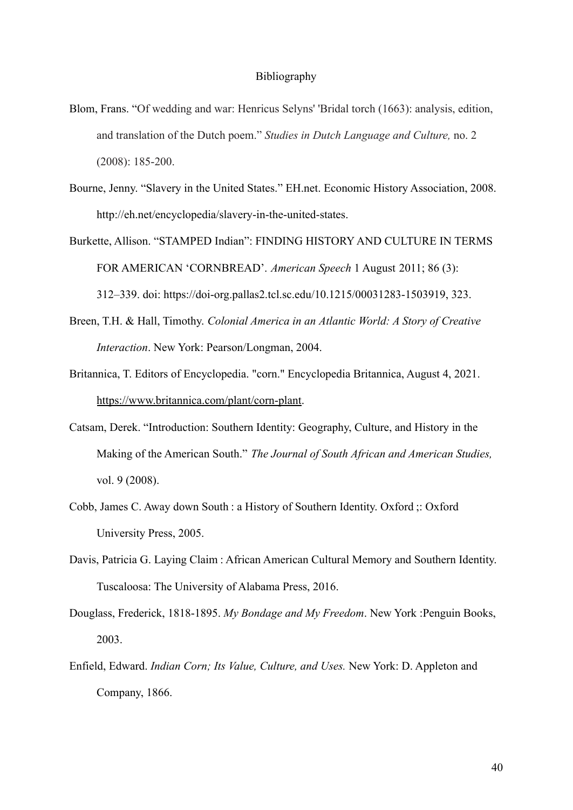#### Bibliography

- Blom, Frans. "Of wedding and war: Henricus Selyns' 'Bridal torch (1663): analysis, edition, and translation of the Dutch poem." *Studies in Dutch Language and Culture,* no. 2 (2008): 185-200.
- Bourne, Jenny. "Slavery in the United States." EH.net. Economic History Association, 2008. [http://eh.net/encyclopedia/slavery-in-the-united-states](http://eh.net/encyclopedia/slavery-in-the-united-states/).
- Burkette, Allison. "STAMPED Indian": FINDING HISTORY AND CULTURE IN TERMS FOR AMERICAN 'CORNBREAD'. *American Speech* 1 August 2011; 86 (3): 312–339. doi: [https://doi-org.pallas2.tcl.sc.edu/10.1215/00031283-1503919,](https://doi-org.pallas2.tcl.sc.edu/10.1215/00031283-1503919) 323.
- Breen, T.H. & Hall, Timothy. *Colonial America in an Atlantic World: A Story of Creative Interaction*. New York: Pearson/Longman, 2004.
- Britannica, T. Editors of Encyclopedia. "corn." Encyclopedia Britannica, August 4, 2021. [https://www.britannica.com/plant/corn-plant.](https://www.britannica.com/plant/corn-plant)
- Catsam, Derek. "Introduction: Southern Identity: Geography, Culture, and History in the Making of the American South." *The Journal of South African and American Studies,* vol. 9 (2008).
- Cobb, James C. Away down South : a History of Southern Identity. Oxford ;: Oxford University Press, 2005.
- Davis, Patricia G. Laying Claim : African American Cultural Memory and Southern Identity. Tuscaloosa: The University of Alabama Press, 2016.
- Douglass, Frederick, 1818-1895. *My Bondage and My Freedom*. New York :Penguin Books, 2003.
- Enfield, Edward. *Indian Corn; Its Value, Culture, and Uses.* New York: D. Appleton and Company, 1866.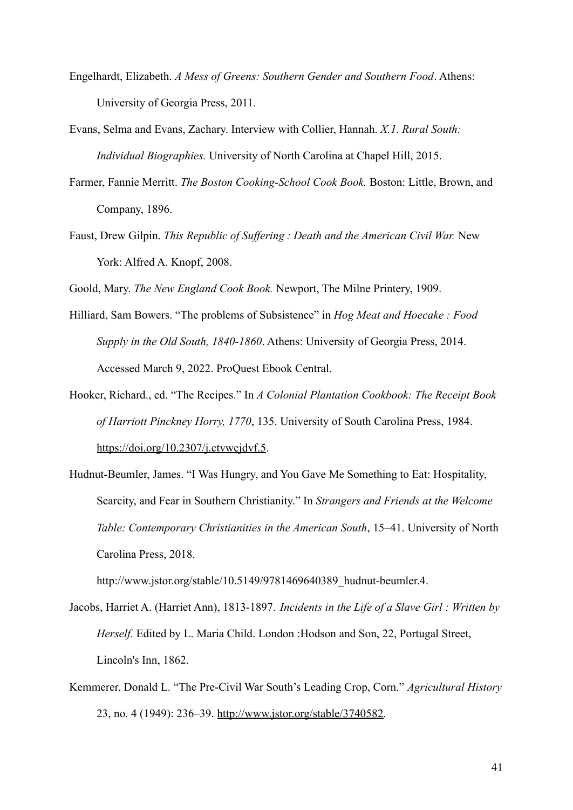- Engelhardt, Elizabeth. *A Mess of Greens: Southern Gender and Southern Food*. Athens: University of Georgia Press, 2011.
- Evans, Selma and Evans, Zachary. Interview with Collier, Hannah. *X.1. Rural South: Individual Biographies.* University of North Carolina at Chapel Hill, 2015.
- Farmer, Fannie Merritt. *The Boston Cooking-School Cook Book.* Boston: Little, Brown, and Company, 1896.
- Faust, Drew Gilpin. *This Republic of Suffering : Death and the American Civil War.* New York: Alfred A. Knopf, 2008.
- Goold, Mary. *The New England Cook Book.* Newport, The Milne Printery, 1909.
- Hilliard, Sam Bowers. "The problems of Subsistence" in *Hog Meat and Hoecake : Food Supply in the Old South, 1840-1860*. Athens: University of Georgia Press, 2014. Accessed March 9, 2022. ProQuest Ebook Central.
- Hooker, Richard., ed. "The Recipes." In *A Colonial Plantation Cookbook: The Receipt Book of Harriott Pinckney Horry, 1770*, 135. University of South Carolina Press, 1984. [https://doi.org/10.2307/j.ctvwcjdvf.5.](https://doi.org/10.2307/j.ctvwcjdvf.5)
- Hudnut-Beumler, James. "I Was Hungry, and You Gave Me Something to Eat: Hospitality, Scarcity, and Fear in Southern Christianity." In *Strangers and Friends at the Welcome Table: Contemporary Christianities in the American South*, 15–41. University of North Carolina Press, 2018.

http://www.jstor.org/stable/10.5149/9781469640389\_hudnut-beumler.4.

- Jacobs, Harriet A. (Harriet Ann), 1813-1897. *Incidents in the Life of a Slave Girl : Written by Herself.* Edited by L. Maria Child. London :Hodson and Son, 22, Portugal Street, Lincoln's Inn, 1862.
- Kemmerer, Donald L. "The Pre-Civil War South's Leading Crop, Corn." *Agricultural History* 23, no. 4 (1949): 236–39. [http://www.jstor.org/stable/3740582.](http://www.jstor.org/stable/3740582)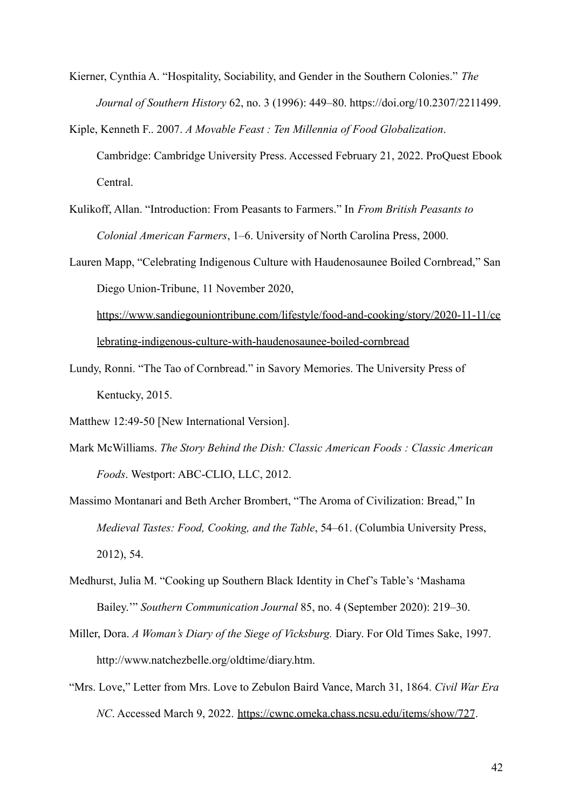- Kierner, Cynthia A. "Hospitality, Sociability, and Gender in the Southern Colonies." *The Journal of Southern History* 62, no. 3 (1996): 449–80. https://doi.org/10.2307/2211499.
- Kiple, Kenneth F.. 2007. *A Movable Feast : Ten Millennia of Food Globalization*. Cambridge: Cambridge University Press. Accessed February 21, 2022. ProQuest Ebook Central.
- Kulikoff, Allan. "Introduction: From Peasants to Farmers." In *From British Peasants to Colonial American Farmers*, 1–6. University of North Carolina Press, 2000.

Lauren Mapp, "Celebrating Indigenous Culture with Haudenosaunee Boiled Cornbread," San Diego Union-Tribune, 11 November 2020, [https://www.sandiegouniontribune.com/lifestyle/food-and-cooking/story/2020-11-11/ce](https://www.sandiegouniontribune.com/lifestyle/food-and-cooking/story/2020-11-11/celebrating-indigenous-culture-with-haudenosaunee-boiled-cornbread) [lebrating-indigenous-culture-with-haudenosaunee-boiled-cornbread](https://www.sandiegouniontribune.com/lifestyle/food-and-cooking/story/2020-11-11/celebrating-indigenous-culture-with-haudenosaunee-boiled-cornbread)

- Lundy, Ronni. "The Tao of Cornbread." in Savory Memories. The University Press of Kentucky, 2015.
- Matthew 12:49-50 [New International Version].
- Mark McWilliams. *The Story Behind the Dish: Classic American Foods : Classic American Foods*. Westport: ABC-CLIO, LLC, 2012.
- Massimo Montanari and Beth Archer Brombert, "The Aroma of Civilization: Bread," In *Medieval Tastes: Food, Cooking, and the Table*, 54–61. (Columbia University Press, 2012), 54.
- Medhurst, Julia M. "Cooking up Southern Black Identity in Chef's Table's 'Mashama Bailey.'" *Southern Communication Journal* 85, no. 4 (September 2020): 219–30.
- Miller, Dora. *A Woman's Diary of the Siege of Vicksburg.* Diary. For Old Times Sake, 1997. http://www.natchezbelle.org/oldtime/diary.htm.
- "Mrs. Love," Letter from Mrs. Love to Zebulon Baird Vance, March 31, 1864. *Civil War Era NC*. Accessed March 9, 2022. <https://cwnc.omeka.chass.ncsu.edu/items/show/727>.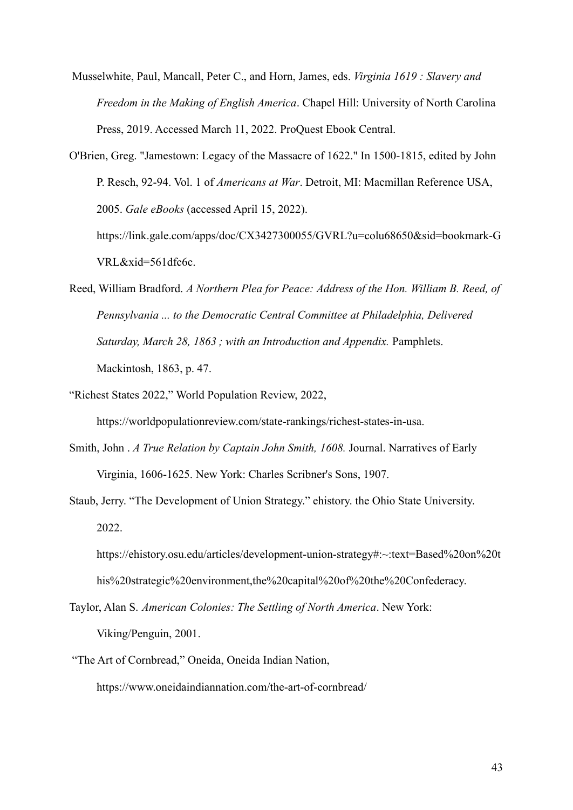Musselwhite, Paul, Mancall, Peter C., and Horn, James, eds. *Virginia 1619 : Slavery and Freedom in the Making of English America*. Chapel Hill: University of North Carolina Press, 2019. Accessed March 11, 2022. ProQuest Ebook Central.

O'Brien, Greg. "Jamestown: Legacy of the Massacre of 1622." In 1500-1815, edited by John P. Resch, 92-94. Vol. 1 of *Americans at War*. Detroit, MI: Macmillan Reference USA, 2005. *Gale eBooks* (accessed April 15, 2022). https://link.gale.com/apps/doc/CX3427300055/GVRL?u=colu68650&sid=bookmark-G VRL&xid=561dfc6c.

Reed, William Bradford. *A Northern Plea for Peace: Address of the Hon. William B. Reed, of Pennsylvania ... to the Democratic Central Committee at Philadelphia, Delivered Saturday, March 28, 1863 ; with an Introduction and Appendix.* Pamphlets. Mackintosh, 1863, p. 47.

"Richest States 2022," World Population Review, 2022,

https://worldpopulationreview.com/state-rankings/richest-states-in-usa.

- Smith, John . *A True Relation by Captain John Smith, 1608.* Journal. Narratives of Early Virginia, 1606-1625. New York: Charles Scribner's Sons, 1907.
- Staub, Jerry. "The Development of Union Strategy." ehistory. the Ohio State University. 2022.

```
https://ehistory.osu.edu/articles/development-union-strategy#:~:text=Based%20on%20t
his%20strategic%20environment,the%20capital%20of%20the%20Confederacy.
```
Taylor, Alan S. *American Colonies: The Settling of North America*. New York: Viking/Penguin, 2001.

"The Art of Cornbread," Oneida, Oneida Indian Nation,

https://www.oneidaindiannation.com/the-art-of-cornbread/